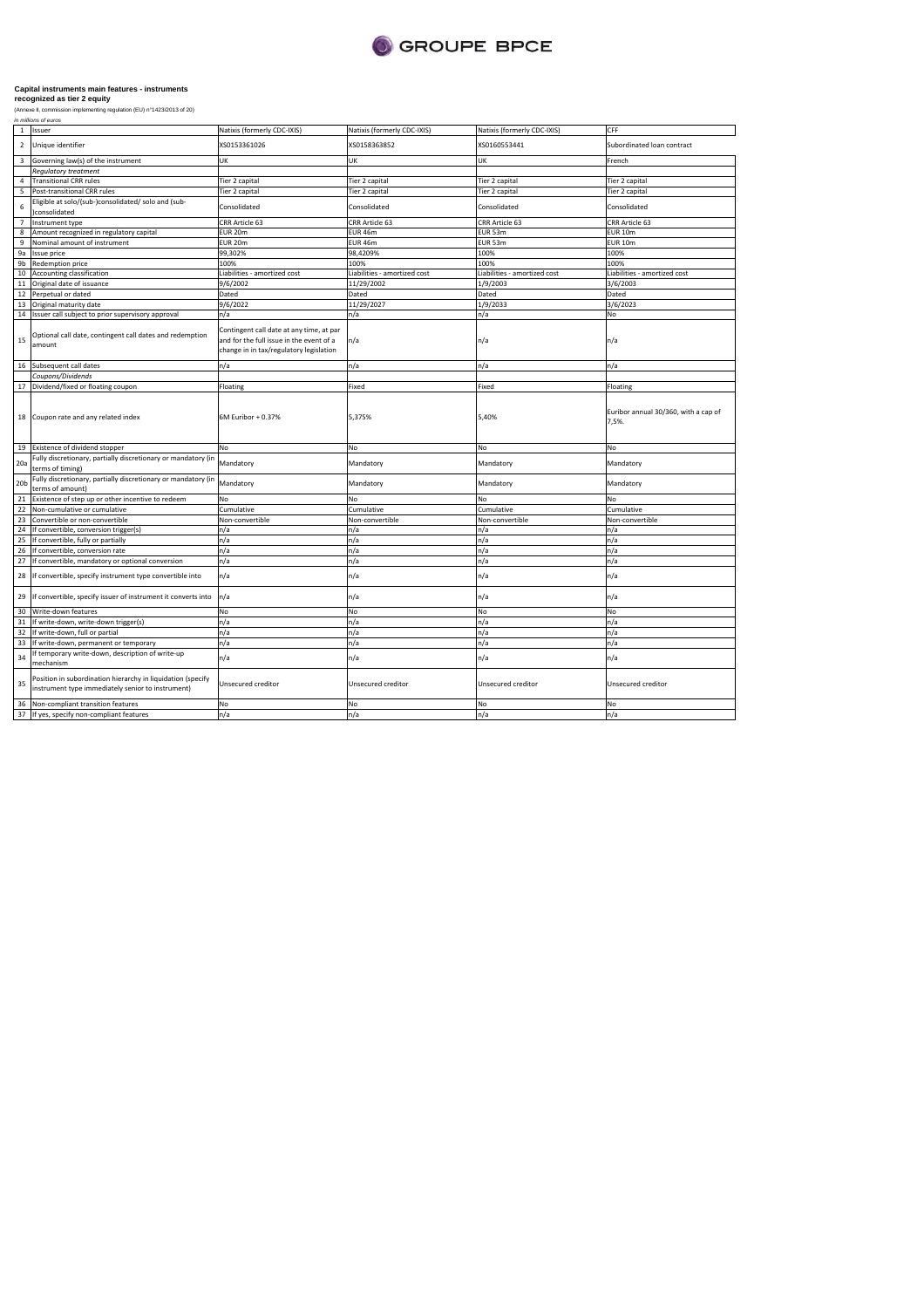

(Annexe II, commission implementing regulation (EU) n°1423/2013 of 20)

| $\mathbf{1}$<br>$\overline{2}$<br>3<br>$\Delta$<br>5 | Issuer<br>Unique identifier<br>Governing law(s) of the instrument                                                | Natixis (formerly CDC-IXIS)<br>XS0153361026                                                                                     | Natixis (formerly CDC-IXIS)  | Natixis (formerly CDC-IXIS)  | CFF                                           |
|------------------------------------------------------|------------------------------------------------------------------------------------------------------------------|---------------------------------------------------------------------------------------------------------------------------------|------------------------------|------------------------------|-----------------------------------------------|
|                                                      |                                                                                                                  |                                                                                                                                 |                              |                              |                                               |
|                                                      |                                                                                                                  |                                                                                                                                 | XS0158363852                 | XS0160553441                 | Subordinated loan contract                    |
|                                                      |                                                                                                                  | UK                                                                                                                              | UK                           | <b>UK</b>                    | French                                        |
|                                                      | <b>Requlatory treatment</b>                                                                                      |                                                                                                                                 |                              |                              |                                               |
|                                                      | <b>Transitional CRR rules</b>                                                                                    | Tier 2 capital                                                                                                                  | Tier 2 capital               | Tier 2 capital               | Tier 2 capital                                |
|                                                      | Post-transitional CRR rules                                                                                      | Tier 2 capital                                                                                                                  | Tier 2 capital               | Tier 2 capital               | Tier 2 capital                                |
| 6                                                    | Eligible at solo/(sub-)consolidated/ solo and (sub-<br>)consolidated                                             | Consolidated                                                                                                                    | Consolidated                 | Consolidated                 | Consolidated                                  |
| $\overline{7}$                                       | Instrument type                                                                                                  | CRR Article 63                                                                                                                  | CRR Article 63               | CRR Article 63               | CRR Article 63                                |
| 8                                                    | Amount recognized in regulatory capital                                                                          | EUR 20m                                                                                                                         | <b>EUR 46m</b>               | EUR 53m                      | <b>EUR 10m</b>                                |
| $\overline{9}$                                       | Nominal amount of instrument                                                                                     | EUR 20m                                                                                                                         | EUR 46m                      | EUR 53m                      | <b>EUR 10m</b>                                |
| 9a                                                   | Issue price                                                                                                      | 99,302%                                                                                                                         | 98,4209%                     | 100%                         | 100%                                          |
| 9b                                                   | Redemption price                                                                                                 | 100%                                                                                                                            | 100%                         | 100%                         | 100%                                          |
| 10                                                   | Accounting classification                                                                                        | Liabilities - amortized cost                                                                                                    | Liabilities - amortized cost | Liabilities - amortized cost | Liabilities - amortized cost                  |
| 11                                                   | Original date of issuance                                                                                        | 9/6/2002                                                                                                                        | 11/29/2002                   | 1/9/2003                     | 3/6/2003                                      |
| 12                                                   | Perpetual or dated                                                                                               | Dated                                                                                                                           | Dated                        | Dated                        | Dated                                         |
| 13                                                   | Original maturity date                                                                                           | 9/6/2022                                                                                                                        | 11/29/2027                   | 1/9/2033                     | 3/6/2023                                      |
| 14                                                   | Issuer call subject to prior supervisory approval                                                                | n/a                                                                                                                             | n/a                          | n/a                          | No                                            |
|                                                      |                                                                                                                  |                                                                                                                                 |                              |                              |                                               |
| 15                                                   | Optional call date, contingent call dates and redemption<br>amount                                               | Contingent call date at any time, at par<br>and for the full issue in the event of a<br>change in in tax/regulatory legislation | n/a                          | n/a                          | n/a                                           |
| 16                                                   | Subsequent call dates                                                                                            | n/a                                                                                                                             | n/a                          | n/a                          | n/a                                           |
|                                                      | Coupons/Dividends                                                                                                |                                                                                                                                 |                              |                              |                                               |
| 17                                                   | Dividend/fixed or floating coupon                                                                                | Floating                                                                                                                        | Fixed                        | Fixed                        | Floating                                      |
| 18                                                   | Coupon rate and any related index                                                                                | 6M Euribor + 0.37%                                                                                                              | 5,375%                       | 5,40%                        | Euribor annual 30/360, with a cap of<br>7,5%. |
| 19                                                   | Existence of dividend stopper                                                                                    | No                                                                                                                              | No                           | No                           | No                                            |
| 20a                                                  | Fully discretionary, partially discretionary or mandatory (in<br>terms of timing)                                | Mandatory                                                                                                                       | Mandatory                    | Mandatory                    | Mandatory                                     |
| 20 <sub>b</sub>                                      | Fully discretionary, partially discretionary or mandatory (in<br>terms of amount)                                | Mandatory                                                                                                                       | Mandatory                    | Mandatory                    | Mandatory                                     |
| 21                                                   | Existence of step up or other incentive to redeem                                                                | No                                                                                                                              | No                           | <b>No</b>                    | No                                            |
| 22                                                   | Non-cumulative or cumulative                                                                                     | Cumulative                                                                                                                      | Cumulative                   | Cumulative                   | Cumulative                                    |
| 23                                                   | Convertible or non-convertible                                                                                   | Non-convertible                                                                                                                 | Non-convertible              | Non-convertible              | Non-convertible                               |
| 24                                                   | If convertible, conversion trigger(s)                                                                            | n/a                                                                                                                             | n/a                          | n/a                          | n/a                                           |
| 25                                                   | If convertible, fully or partially                                                                               | n/a                                                                                                                             | n/a                          | n/a                          | n/a                                           |
| 26                                                   | If convertible, conversion rate                                                                                  | n/a                                                                                                                             | n/a                          | n/a                          | n/a                                           |
| 27                                                   | If convertible, mandatory or optional conversion                                                                 | n/a                                                                                                                             | n/a                          | n/a                          | n/a                                           |
| 28                                                   | If convertible, specify instrument type convertible into                                                         | n/a                                                                                                                             | n/a                          | n/a                          | n/a                                           |
| 29                                                   | If convertible, specify issuer of instrument it converts into                                                    | n/a                                                                                                                             | n/a                          | n/a                          | n/a                                           |
| 30                                                   | Write-down features                                                                                              | No                                                                                                                              | No                           | No                           | No                                            |
| 31                                                   | If write-down, write-down trigger(s)                                                                             | n/a                                                                                                                             | n/a                          | n/a                          | n/a                                           |
|                                                      | If write-down, full or partial                                                                                   | n/a                                                                                                                             | n/a                          | n/a                          | n/a                                           |
| 32                                                   | If write-down, permanent or temporary                                                                            | n/a                                                                                                                             | n/a                          | n/a                          | n/a                                           |
| 33                                                   |                                                                                                                  |                                                                                                                                 | n/a                          | n/a                          | n/a                                           |
| 34                                                   | f temporary write-down, description of write-up<br>mechanism                                                     | n/a                                                                                                                             |                              |                              |                                               |
| 35                                                   | Position in subordination hierarchy in liquidation (specify<br>instrument type immediately senior to instrument) | Unsecured creditor                                                                                                              | Unsecured creditor           | Unsecured creditor           | Unsecured creditor                            |
| 36<br>37                                             | Non-compliant transition features<br>If yes, specify non-compliant features                                      | No<br>n/a                                                                                                                       | No<br>n/a                    | No<br>n/a                    | No<br>n/a                                     |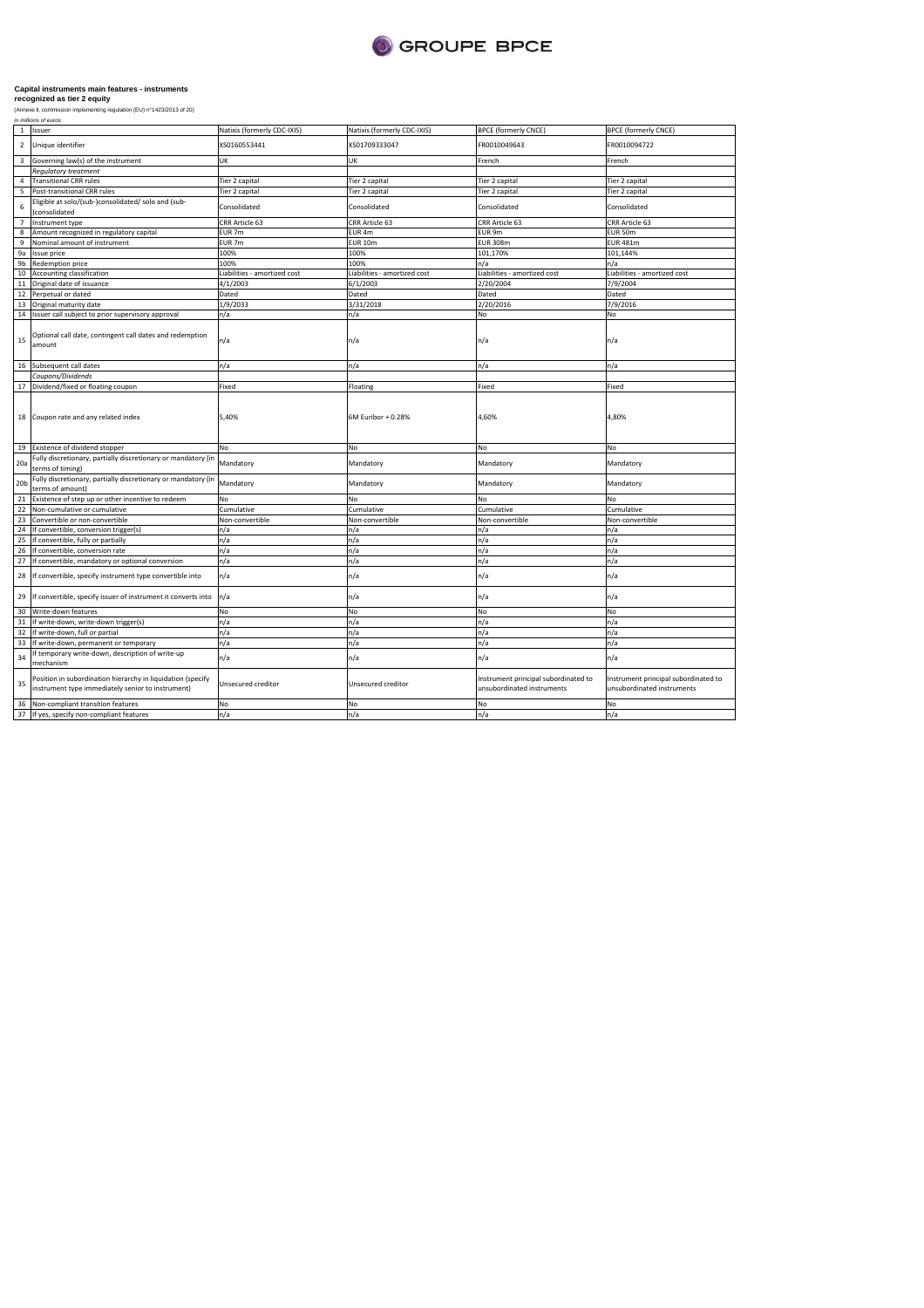

| $\mathbf{1}$    | Issuer                                                                                                           | Natixis (formerly CDC-IXIS)  | Natixis (formerly CDC-IXIS)  | <b>BPCE (formerly CNCE)</b>                                        | <b>BPCE (formerly CNCE)</b>                                        |
|-----------------|------------------------------------------------------------------------------------------------------------------|------------------------------|------------------------------|--------------------------------------------------------------------|--------------------------------------------------------------------|
| $\overline{2}$  | Unique identifier                                                                                                | XS0160553441                 | XS01709333047                | FR0010049643                                                       | FR0010094722                                                       |
| 3               | Governing law(s) of the instrument                                                                               | UK                           | UK                           | French                                                             | French                                                             |
|                 | <b>Regulatory treatment</b>                                                                                      |                              |                              |                                                                    |                                                                    |
| 4               | <b>Transitional CRR rules</b>                                                                                    | Tier 2 capital               | Tier 2 capital               | Tier 2 capital                                                     | Tier 2 capital                                                     |
| 5               | Post-transitional CRR rules                                                                                      | Tier 2 capital               | Tier 2 capital               | Tier 2 capital                                                     | Tier 2 capital                                                     |
| 6               | Eligible at solo/(sub-)consolidated/ solo and (sub-<br>consolidated                                              | Consolidated                 | Consolidated                 | Consolidated                                                       | Consolidated                                                       |
| $\overline{7}$  | Instrument type                                                                                                  | CRR Article 63               | CRR Article 63               | CRR Article 63                                                     | CRR Article 63                                                     |
| 8               | Amount recognized in regulatory capital                                                                          | EUR 7m                       | EUR 4m                       | EUR 9m                                                             | EUR 50m                                                            |
| 9               | Nominal amount of instrument                                                                                     | EUR 7m                       | <b>EUR 10m</b>               | <b>EUR 308m</b>                                                    | <b>EUR 481m</b>                                                    |
| 9a              | Issue price                                                                                                      | 100%                         | 100%                         | 101,170%                                                           | 101,144%                                                           |
| 9b              | Redemption price                                                                                                 | 100%                         | 100%                         | n/a                                                                | n/a                                                                |
| 10              | Accounting classification                                                                                        | Liabilities - amortized cost | Liabilities - amortized cost | Liabilities - amortized cost                                       | Liabilities - amortized cost                                       |
| 11              | Original date of issuance                                                                                        | 4/1/2003                     | 6/1/2003                     | 2/20/2004                                                          | 7/9/2004                                                           |
| 12              | Perpetual or dated                                                                                               | Dated                        | Dated                        | Dated                                                              | Dated                                                              |
| 13              | Original maturity date                                                                                           | 1/9/2033                     | 3/31/2018                    | 2/20/2016                                                          | 7/9/2016                                                           |
| 14              | Issuer call subject to prior supervisory approval                                                                | n/a                          | n/a                          | No                                                                 | No                                                                 |
| 15              | Optional call date, contingent call dates and redemption<br>amount                                               | n/a                          | n/a                          | n/a                                                                | n/a                                                                |
|                 | 16 Subsequent call dates                                                                                         | n/a                          | n/a                          | n/a                                                                | n/a                                                                |
|                 | Coupons/Dividends                                                                                                |                              |                              |                                                                    |                                                                    |
|                 | 17 Dividend/fixed or floating coupon                                                                             | Fixed                        | Floating                     | Fixed                                                              | Fixed                                                              |
| 18              | Coupon rate and any related index                                                                                | 5,40%                        | 6M Euribor + 0.28%           | 4,60%                                                              | 4,80%                                                              |
|                 | 19 Existence of dividend stopper                                                                                 | No                           | No                           | No                                                                 | No                                                                 |
| 20a             | Fully discretionary, partially discretionary or mandatory (in<br>terms of timing)                                | Mandatory                    | Mandatory                    | Mandatory                                                          | Mandatory                                                          |
| 20 <sub>b</sub> | Fully discretionary, partially discretionary or mandatory (in<br>terms of amount)                                | Mandatory                    | Mandatory                    | Mandatory                                                          | Mandatory                                                          |
| 21              | Existence of step up or other incentive to redeem                                                                | No                           | No                           | No                                                                 | No                                                                 |
| 22              | Non-cumulative or cumulative                                                                                     | Cumulative                   | Cumulative                   | Cumulative                                                         | Cumulative                                                         |
| 23              | Convertible or non-convertible                                                                                   | Non-convertible              | Non-convertible              | Non-convertible                                                    | Non-convertible                                                    |
| 24              | If convertible, conversion trigger(s)                                                                            | n/a                          | n/a                          | n/a                                                                | n/a                                                                |
| 25              | If convertible, fully or partially                                                                               | n/a                          | n/a                          | n/a                                                                | n/a                                                                |
| 26              | If convertible, conversion rate                                                                                  | n/a                          | n/a                          | n/a                                                                | n/a                                                                |
| 27              | If convertible, mandatory or optional conversion                                                                 | n/a                          | n/a                          | n/a                                                                | n/a                                                                |
| 28              | If convertible, specify instrument type convertible into                                                         | n/a                          | n/a                          | n/a                                                                | n/a                                                                |
| 29              | If convertible, specify issuer of instrument it converts into                                                    | n/a                          | n/a                          | n/a                                                                | n/a                                                                |
| 30              | Write-down features                                                                                              | No                           | No                           | No                                                                 | No                                                                 |
| 31              | If write-down, write-down trigger(s)                                                                             | n/a                          | n/a                          | n/a                                                                | n/a                                                                |
| 32              | If write-down, full or partial                                                                                   | n/a                          | n/a                          | n/a                                                                | n/a                                                                |
| 33              | If write-down, permanent or temporary                                                                            | n/a                          | n/a                          | n/a                                                                | n/a                                                                |
| 34              | f temporary write-down, description of write-up<br>mechanism                                                     | n/a                          | n/a                          | n/a                                                                | n/a                                                                |
| 35              | Position in subordination hierarchy in liquidation (specify<br>instrument type immediately senior to instrument) | Unsecured creditor           | Unsecured creditor           | Instrument principal subordinated to<br>unsubordinated instruments | Instrument principal subordinated to<br>unsubordinated instruments |
| 36              | Non-compliant transition features                                                                                | No                           | No                           | No                                                                 | No                                                                 |
| 37              | If yes, specify non-compliant features                                                                           | n/a                          | n/a                          | n/a                                                                | n/a                                                                |
|                 |                                                                                                                  |                              |                              |                                                                    |                                                                    |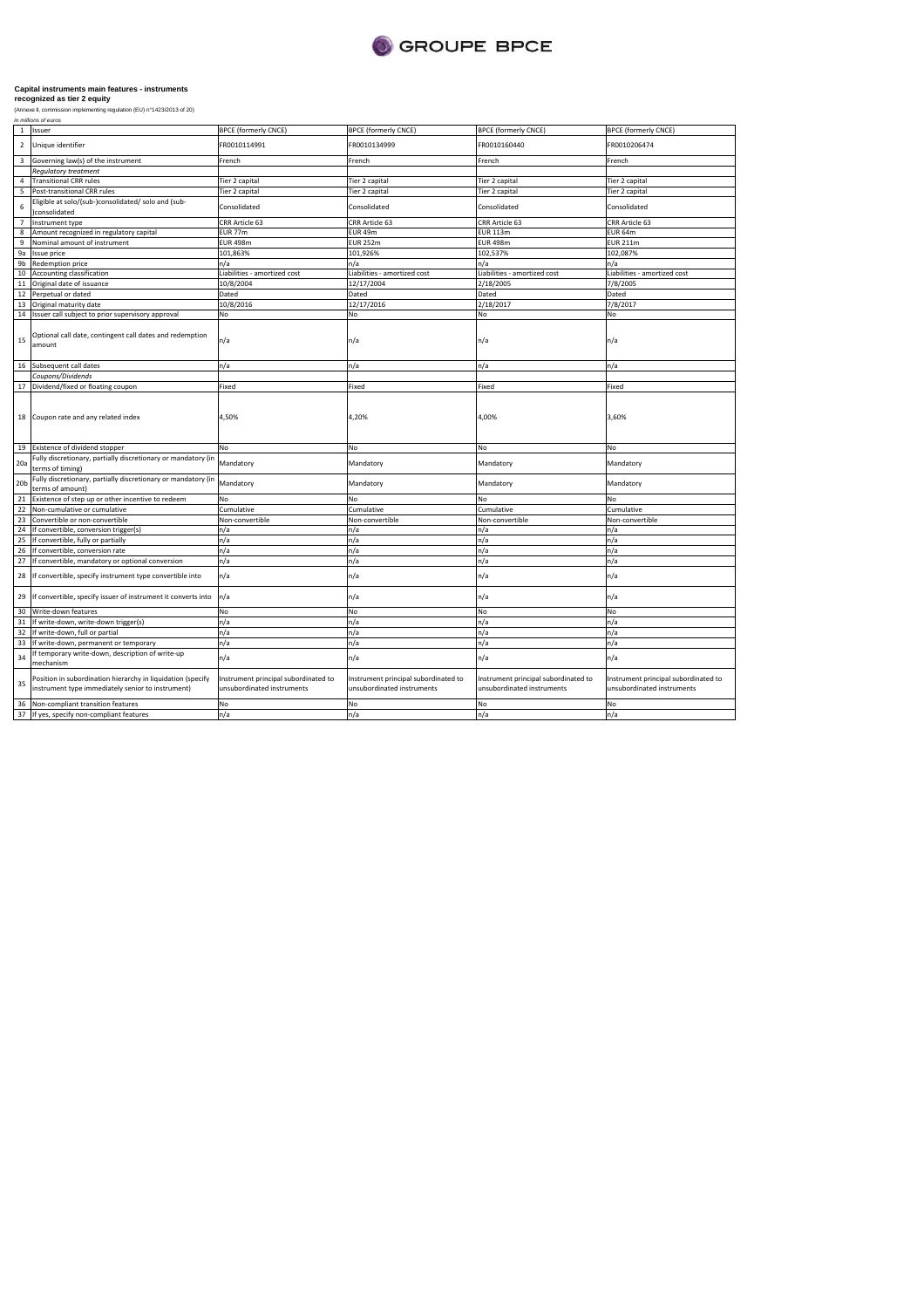

| $\mathbf{1}$<br>$\overline{2}$ | Issuer<br>Unique identifier                                                                                      | <b>BPCE (formerly CNCE)</b><br>FR0010114991                        | <b>BPCE (formerly CNCE)</b><br>FR0010134999                        | <b>BPCE (formerly CNCE)</b><br>FR0010160440                        | <b>BPCE (formerly CNCE)</b><br>FR0010206474                        |
|--------------------------------|------------------------------------------------------------------------------------------------------------------|--------------------------------------------------------------------|--------------------------------------------------------------------|--------------------------------------------------------------------|--------------------------------------------------------------------|
| 3                              | Governing law(s) of the instrument                                                                               | French                                                             | French                                                             | French                                                             | French                                                             |
|                                | <b>Regulatory treatment</b>                                                                                      |                                                                    |                                                                    |                                                                    |                                                                    |
| 4                              | <b>Transitional CRR rules</b>                                                                                    | Tier 2 capital                                                     | Tier 2 capital                                                     | Tier 2 capital                                                     | Tier 2 capital                                                     |
| 5                              |                                                                                                                  |                                                                    |                                                                    |                                                                    |                                                                    |
|                                | Post-transitional CRR rules                                                                                      | Tier 2 capital                                                     | Tier 2 capital                                                     | Tier 2 capital                                                     | Tier 2 capital                                                     |
| 6                              | Eligible at solo/(sub-)consolidated/ solo and (sub-<br>consolidated                                              | Consolidated                                                       | Consolidated                                                       | Consolidated                                                       | Consolidated                                                       |
| $\overline{7}$                 | Instrument type                                                                                                  | CRR Article 63                                                     | CRR Article 63                                                     | CRR Article 63                                                     | CRR Article 63                                                     |
| 8                              | Amount recognized in regulatory capital                                                                          | EUR 77m                                                            | <b>EUR 49m</b>                                                     | <b>EUR 113m</b>                                                    | <b>EUR 64m</b>                                                     |
| 9                              | Nominal amount of instrument                                                                                     | <b>EUR 498m</b>                                                    | <b>EUR 252m</b>                                                    | <b>EUR 498m</b>                                                    | <b>EUR 211m</b>                                                    |
| 9a                             | <b>Issue price</b>                                                                                               | 101,863%                                                           | 101,926%                                                           | 102,537%                                                           | 102,087%                                                           |
| 9b                             | <b>Redemption price</b>                                                                                          | n/a                                                                | n/a                                                                | n/a                                                                | n/a                                                                |
| 10                             | Accounting classification                                                                                        | Liabilities - amortized cost                                       | Liabilities - amortized cost                                       | Liabilities - amortized cost                                       | Liabilities - amortized cost                                       |
| 11                             | Original date of issuance                                                                                        | 10/8/2004                                                          | 12/17/2004                                                         | 2/18/2005                                                          | 7/8/2005                                                           |
| 12                             | Perpetual or dated                                                                                               | Dated                                                              | Dated                                                              | Dated                                                              | Dated                                                              |
| 13                             | Original maturity date                                                                                           | 10/8/2016                                                          | 12/17/2016                                                         | 2/18/2017                                                          | 7/8/2017                                                           |
|                                | 14 Issuer call subject to prior supervisory approval                                                             | No                                                                 | No                                                                 | No                                                                 | No                                                                 |
|                                |                                                                                                                  |                                                                    |                                                                    |                                                                    |                                                                    |
| 15                             | Optional call date, contingent call dates and redemption<br>amount                                               | n/a                                                                | n/a                                                                | n/a                                                                | n/a                                                                |
| 16                             | Subsequent call dates                                                                                            | n/a                                                                | n/a                                                                | n/a                                                                | n/a                                                                |
|                                | Coupons/Dividends                                                                                                |                                                                    |                                                                    |                                                                    |                                                                    |
| 17                             | Dividend/fixed or floating coupon                                                                                | Fixed                                                              | Fixed                                                              | Fixed                                                              | Fixed                                                              |
|                                | 18 Coupon rate and any related index                                                                             | 4,50%                                                              | 4,20%                                                              | 4,00%                                                              | 3,60%                                                              |
|                                | 19 Existence of dividend stopper                                                                                 | No                                                                 | No                                                                 | No                                                                 | No                                                                 |
| 20a                            | Fully discretionary, partially discretionary or mandatory (in<br>terms of timing)                                | Mandatory                                                          | Mandatory                                                          | Mandatory                                                          | Mandatory                                                          |
| 20 <sub>b</sub>                | Fully discretionary, partially discretionary or mandatory (in<br>terms of amount)                                | Mandatory                                                          | Mandatory                                                          | Mandatory                                                          | Mandatory                                                          |
| 21                             | Existence of step up or other incentive to redeem                                                                | No                                                                 | No                                                                 | No                                                                 | No                                                                 |
| 22                             | Non-cumulative or cumulative                                                                                     | Cumulative                                                         | Cumulative                                                         | Cumulative                                                         | Cumulative                                                         |
| 23                             | Convertible or non-convertible                                                                                   | Non-convertible                                                    | Non-convertible                                                    | Non-convertible                                                    | Non-convertible                                                    |
| 24                             | If convertible, conversion trigger(s)                                                                            | n/a                                                                | n/a                                                                | n/a                                                                | n/a                                                                |
| 25                             | If convertible, fully or partially                                                                               | n/a                                                                | n/a                                                                | n/a                                                                | n/a                                                                |
| 26                             | If convertible, conversion rate                                                                                  | n/a                                                                | n/a                                                                | n/a                                                                | n/a                                                                |
| 27                             | If convertible, mandatory or optional conversion                                                                 | n/a                                                                | n/a                                                                | n/a                                                                | n/a                                                                |
| 28                             | If convertible, specify instrument type convertible into                                                         | n/a                                                                | n/a                                                                | n/a                                                                | n/a                                                                |
| 29                             | If convertible, specify issuer of instrument it converts into                                                    | n/a                                                                | n/a                                                                | n/a                                                                | n/a                                                                |
| 30                             | Write-down features                                                                                              | No                                                                 | No                                                                 | No                                                                 | No                                                                 |
| 31                             | If write-down, write-down trigger(s)                                                                             | n/a                                                                | n/a                                                                | n/a                                                                | n/a                                                                |
| 32                             | If write-down, full or partial                                                                                   | n/a                                                                | n/a                                                                | n/a                                                                | n/a                                                                |
| 33                             | If write-down, permanent or temporary                                                                            | n/a                                                                | n/a                                                                | n/a                                                                | n/a                                                                |
| 34                             | If temporary write-down, description of write-up<br>mechanism                                                    | n/a                                                                | n/a                                                                | n/a                                                                | n/a                                                                |
| 35                             | Position in subordination hierarchy in liquidation (specify<br>instrument type immediately senior to instrument) | Instrument principal subordinated to<br>unsubordinated instruments | Instrument principal subordinated to<br>unsubordinated instruments | Instrument principal subordinated to<br>unsubordinated instruments | Instrument principal subordinated to<br>unsubordinated instruments |
| 36                             | Non-compliant transition features                                                                                | No                                                                 | No                                                                 | No                                                                 | No                                                                 |
| 37                             | If yes, specify non-compliant features                                                                           | n/a                                                                | n/a                                                                | n/a                                                                | n/a                                                                |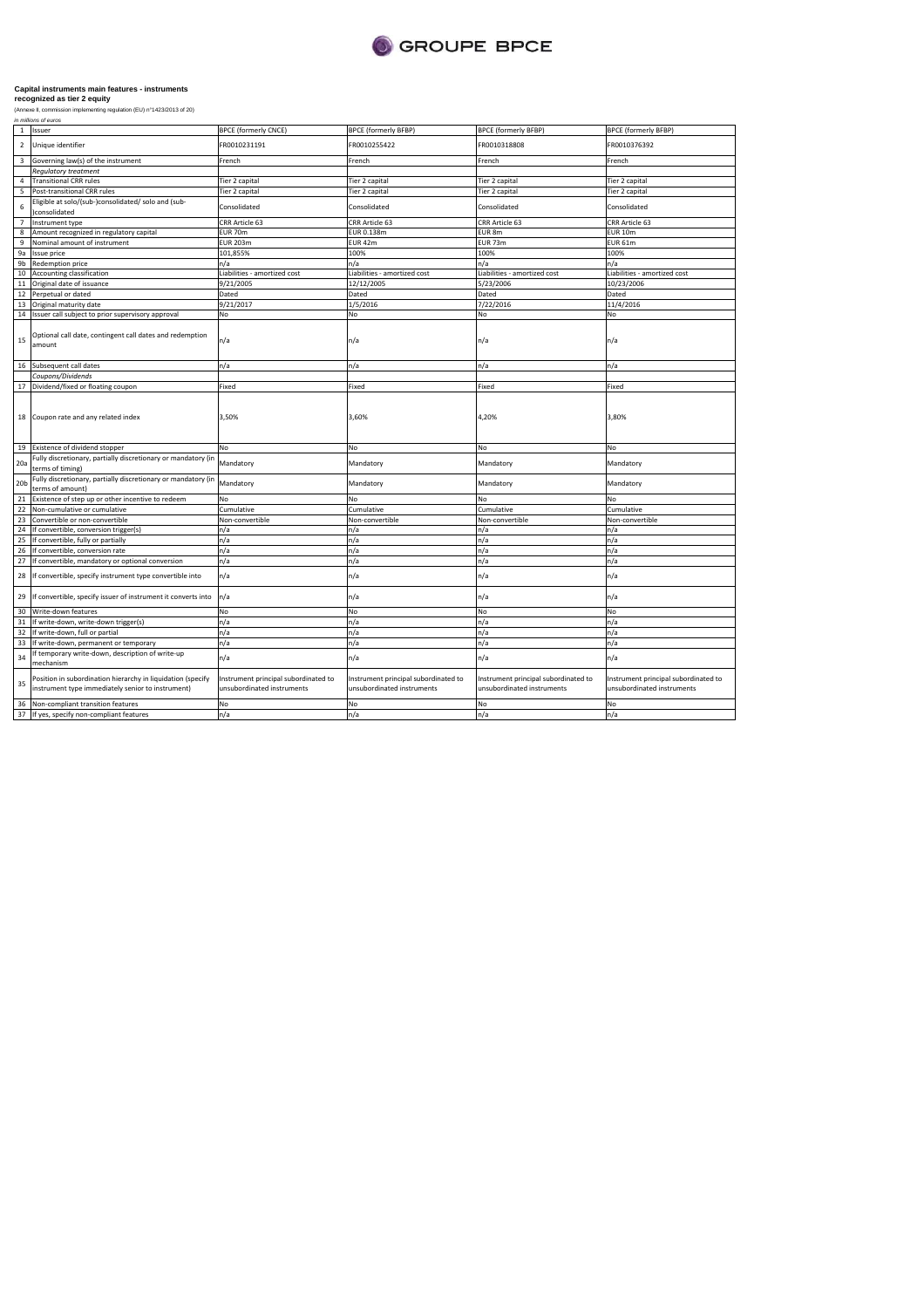

| $\mathbf{1}$            | Issuer                                                                                                           | <b>BPCE (formerly CNCE)</b>                                        | <b>BPCE (formerly BFBP)</b>                                        | <b>BPCE (formerly BFBP)</b>                                        | <b>BPCE (formerly BFBP)</b>                                        |
|-------------------------|------------------------------------------------------------------------------------------------------------------|--------------------------------------------------------------------|--------------------------------------------------------------------|--------------------------------------------------------------------|--------------------------------------------------------------------|
| $\overline{2}$          | Unique identifier                                                                                                | FR0010231191                                                       | FR0010255422                                                       | FR0010318808                                                       | FR0010376392                                                       |
| $\overline{\mathbf{3}}$ | Governing law(s) of the instrument                                                                               | French                                                             | French                                                             | French                                                             | French                                                             |
|                         | <b>Regulatory treatment</b>                                                                                      |                                                                    |                                                                    |                                                                    |                                                                    |
| 4                       | <b>Transitional CRR rules</b>                                                                                    | Tier 2 capital                                                     | Tier 2 capital                                                     | Tier 2 capital                                                     | Tier 2 capital                                                     |
| 5                       | Post-transitional CRR rules                                                                                      | Tier 2 capital                                                     | Tier 2 capital                                                     | Tier 2 capital                                                     | Tier 2 capital                                                     |
| 6                       | Eligible at solo/(sub-)consolidated/ solo and (sub-<br>)consolidated                                             | Consolidated                                                       | Consolidated                                                       | Consolidated                                                       | Consolidated                                                       |
| $7^{\circ}$             | Instrument type                                                                                                  | CRR Article 63                                                     | CRR Article 63                                                     | CRR Article 63                                                     | CRR Article 63                                                     |
| 8                       | Amount recognized in regulatory capital                                                                          | EUR 70m                                                            | EUR 0.138m                                                         | EUR 8m                                                             | <b>EUR 10m</b>                                                     |
| 9                       | Nominal amount of instrument                                                                                     | <b>EUR 203m</b>                                                    | EUR 42m                                                            | <b>EUR 73m</b>                                                     | <b>EUR 61m</b>                                                     |
| 9a                      | <b>Issue price</b>                                                                                               | 101,855%                                                           | 100%                                                               | 100%                                                               | 100%                                                               |
| 9 <sub>b</sub>          | Redemption price                                                                                                 | n/a                                                                | n/a                                                                | n/a                                                                | n/a                                                                |
| 10                      | Accounting classification                                                                                        | Liabilities - amortized cost                                       | Liabilities - amortized cost                                       | Liabilities - amortized cost                                       | Liabilities - amortized cost                                       |
| $11\,$                  | Original date of issuance                                                                                        | 9/21/2005                                                          | 12/12/2005                                                         | 5/23/2006                                                          | 10/23/2006                                                         |
| 12                      | Perpetual or dated                                                                                               | Dated                                                              | Dated                                                              | Dated                                                              | Dated                                                              |
| 13                      | Original maturity date                                                                                           | 9/21/2017                                                          | 1/5/2016                                                           | 7/22/2016                                                          | 11/4/2016                                                          |
| 14                      | Issuer call subject to prior supervisory approval                                                                | No                                                                 | No                                                                 | No                                                                 | No                                                                 |
| 15                      | Optional call date, contingent call dates and redemption<br>amount                                               | n/a                                                                | n/a                                                                | n/a                                                                | n/a                                                                |
| 16                      | Subsequent call dates                                                                                            | n/a                                                                | n/a                                                                | n/a                                                                | n/a                                                                |
|                         | Coupons/Dividends                                                                                                |                                                                    |                                                                    |                                                                    |                                                                    |
|                         | 17 Dividend/fixed or floating coupon                                                                             | Fixed                                                              | Fixed                                                              | Fixed                                                              | Fixed                                                              |
| 18                      | Coupon rate and any related index                                                                                | 3,50%                                                              | 3,60%                                                              | 4,20%                                                              | 3,80%                                                              |
|                         | 19 Existence of dividend stopper                                                                                 | No                                                                 | No                                                                 | No                                                                 | No                                                                 |
| 20a                     | Fully discretionary, partially discretionary or mandatory (in<br>terms of timing)                                | Mandatory                                                          | Mandatory                                                          | Mandatory                                                          | Mandatory                                                          |
| 20 <sub>b</sub>         | Fully discretionary, partially discretionary or mandatory (in<br>terms of amount)                                | Mandatory                                                          | Mandatory                                                          | Mandatory                                                          | Mandatory                                                          |
| 21                      | Existence of step up or other incentive to redeem                                                                | No                                                                 | No                                                                 | No.                                                                | No                                                                 |
| 22                      | Non-cumulative or cumulative                                                                                     | Cumulative                                                         | Cumulative                                                         | Cumulative                                                         | Cumulative                                                         |
| 23                      | Convertible or non-convertible                                                                                   | Non-convertible                                                    | Non-convertible                                                    | Non-convertible                                                    | Non-convertible                                                    |
| 24                      | If convertible, conversion trigger(s)                                                                            | n/a                                                                | n/a                                                                | n/a                                                                | n/a                                                                |
| 25                      | If convertible, fully or partially                                                                               | n/a                                                                | n/a                                                                | n/a                                                                | n/a                                                                |
| 26                      | If convertible, conversion rate                                                                                  | n/a                                                                | n/a                                                                | n/a                                                                | n/a                                                                |
| 27                      | If convertible, mandatory or optional conversion                                                                 | n/a                                                                | n/a                                                                | n/a                                                                | n/a                                                                |
| 28                      | If convertible, specify instrument type convertible into                                                         | n/a                                                                | n/a                                                                | n/a                                                                | n/a                                                                |
| 29                      | If convertible, specify issuer of instrument it converts into                                                    | n/a                                                                | n/a                                                                | n/a                                                                | n/a                                                                |
| 30                      | Write-down features                                                                                              | No                                                                 | No                                                                 | No                                                                 | No                                                                 |
| 31                      | If write-down, write-down trigger(s)                                                                             | n/a                                                                | n/a                                                                | n/a                                                                | n/a                                                                |
| 32                      | If write-down, full or partial                                                                                   | n/a                                                                | n/a                                                                | n/a                                                                | n/a                                                                |
| 33                      | If write-down, permanent or temporary                                                                            | n/a                                                                | n/a                                                                | n/a                                                                | n/a                                                                |
| 34                      | If temporary write-down, description of write-up<br>mechanism                                                    | n/a                                                                | n/a                                                                | n/a                                                                | n/a                                                                |
| 35                      | Position in subordination hierarchy in liquidation (specify<br>instrument type immediately senior to instrument) | Instrument principal subordinated to<br>unsubordinated instruments | Instrument principal subordinated to<br>unsubordinated instruments | Instrument principal subordinated to<br>unsubordinated instruments | Instrument principal subordinated to<br>unsubordinated instruments |
| 36                      | Non-compliant transition features                                                                                | No                                                                 | No                                                                 | No                                                                 | No                                                                 |
| 37                      | If yes, specify non-compliant features                                                                           | n/a                                                                | n/a                                                                | n/a                                                                | n/a                                                                |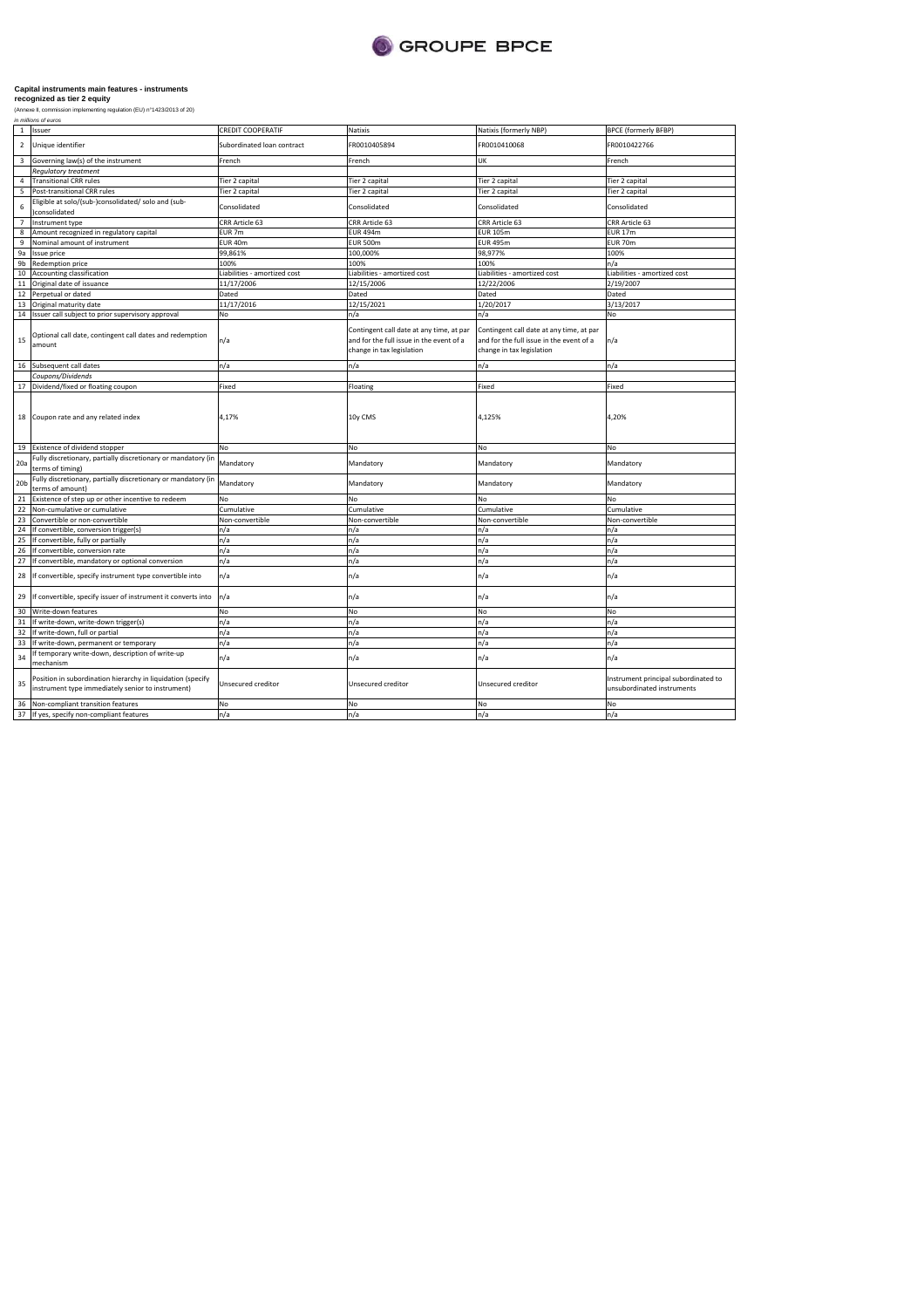

| $\mathbf{1}$    | Issuer                                                                                                           | <b>CREDIT COOPERATIF</b>     | Natixis                                                                                                           | Natixis (formerly NBP)                                                                                            | <b>BPCE (formerly BFBP)</b>                                        |
|-----------------|------------------------------------------------------------------------------------------------------------------|------------------------------|-------------------------------------------------------------------------------------------------------------------|-------------------------------------------------------------------------------------------------------------------|--------------------------------------------------------------------|
| $\overline{2}$  | Unique identifier                                                                                                | Subordinated loan contract   | FR0010405894                                                                                                      | FR0010410068                                                                                                      | FR0010422766                                                       |
| $\overline{3}$  | Governing law(s) of the instrument                                                                               | French                       | French                                                                                                            | UK                                                                                                                | French                                                             |
|                 | <b>Requlatory treatment</b>                                                                                      |                              |                                                                                                                   |                                                                                                                   |                                                                    |
| 4               | <b>Transitional CRR rules</b>                                                                                    | Tier 2 capital               | Tier 2 capital                                                                                                    | Tier 2 capital                                                                                                    | Tier 2 capital                                                     |
| 5               | Post-transitional CRR rules                                                                                      | Tier 2 capital               | Tier 2 capital                                                                                                    | Tier 2 capital                                                                                                    | Tier 2 capital                                                     |
| 6               | Eligible at solo/(sub-)consolidated/ solo and (sub-<br>)consolidated                                             | Consolidated                 | Consolidated                                                                                                      | Consolidated                                                                                                      | Consolidated                                                       |
| $\overline{7}$  | Instrument type                                                                                                  | CRR Article 63               | CRR Article 63                                                                                                    | CRR Article 63                                                                                                    | CRR Article 63                                                     |
|                 | Amount recognized in regulatory capital                                                                          | EUR 7m                       | <b>EUR 494m</b>                                                                                                   | <b>EUR 105m</b>                                                                                                   | <b>EUR 17m</b>                                                     |
| $\mathbf{q}$    | Nominal amount of instrument                                                                                     | EUR 40m                      | <b>EUR 500m</b>                                                                                                   | <b>EUR 495m</b>                                                                                                   | <b>EUR 70m</b>                                                     |
| 9a              | Issue price                                                                                                      | 99,861%                      | 100,000%                                                                                                          | 98,977%                                                                                                           | 100%                                                               |
| 9 <sub>b</sub>  | Redemption price                                                                                                 | 100%                         | 100%                                                                                                              | 100%                                                                                                              | n/a                                                                |
| 10              | Accounting classification                                                                                        | Liabilities - amortized cost | Liabilities - amortized cost                                                                                      | Liabilities - amortized cost                                                                                      | Liabilities - amortized cost                                       |
| 11              | Original date of issuance                                                                                        | 11/17/2006                   | 12/15/2006                                                                                                        | 12/22/2006                                                                                                        | 2/19/2007                                                          |
| 12              | Perpetual or dated                                                                                               | Dated                        | Dated                                                                                                             | Dated                                                                                                             | Dated                                                              |
| 13              | Original maturity date                                                                                           | 11/17/2016                   | 12/15/2021                                                                                                        | 1/20/2017                                                                                                         | 3/13/2017                                                          |
| 14              | Issuer call subject to prior supervisory approval                                                                | No                           | n/a                                                                                                               | n/a                                                                                                               | No                                                                 |
| 15              | Optional call date, contingent call dates and redemption<br>amount                                               | n/a                          | Contingent call date at any time, at par<br>and for the full issue in the event of a<br>change in tax legislation | Contingent call date at any time, at par<br>and for the full issue in the event of a<br>change in tax legislation | n/a                                                                |
| 16              | Subsequent call dates                                                                                            | n/a                          | n/a                                                                                                               | n/a                                                                                                               | n/a                                                                |
|                 | Coupons/Dividends                                                                                                |                              |                                                                                                                   |                                                                                                                   |                                                                    |
| 17              | Dividend/fixed or floating coupon                                                                                | Fixed                        | Floating                                                                                                          | Fixed                                                                                                             | Fixed                                                              |
| 18              | Coupon rate and any related index                                                                                | 4,17%                        | 10y CMS                                                                                                           | 4,125%                                                                                                            | 4,20%                                                              |
|                 | 19 Existence of dividend stopper                                                                                 | No                           | No                                                                                                                | No                                                                                                                | No                                                                 |
| 20a             | Fully discretionary, partially discretionary or mandatory (in<br>terms of timing)                                | Mandatory                    | Mandatory                                                                                                         | Mandatory                                                                                                         | Mandatory                                                          |
| 20 <sub>b</sub> | Fully discretionary, partially discretionary or mandatory (in<br>terms of amount)                                | Mandatory                    | Mandatory                                                                                                         | Mandatory                                                                                                         | Mandatory                                                          |
| 21              | Existence of step up or other incentive to redeem                                                                | No                           | No                                                                                                                | No                                                                                                                | No                                                                 |
| 22              | Non-cumulative or cumulative                                                                                     | Cumulative                   | Cumulative                                                                                                        | Cumulative                                                                                                        | Cumulative                                                         |
| 23              | Convertible or non-convertible                                                                                   | Non-convertible              | Non-convertible                                                                                                   | Non-convertible                                                                                                   | Non-convertible                                                    |
| 24              | If convertible, conversion trigger(s)                                                                            | n/a                          | n/a                                                                                                               | n/a                                                                                                               | n/a                                                                |
| 25              | If convertible, fully or partially                                                                               | n/a                          | n/a                                                                                                               | n/a                                                                                                               | n/a                                                                |
| 26              | If convertible, conversion rate                                                                                  | n/a                          | n/a                                                                                                               | n/a                                                                                                               | n/a                                                                |
| 27              | If convertible, mandatory or optional conversion                                                                 | n/a                          | n/a                                                                                                               | n/a                                                                                                               | n/a                                                                |
| 28              | If convertible, specify instrument type convertible into                                                         | n/a                          | n/a                                                                                                               | n/a                                                                                                               | n/a                                                                |
| 29              | If convertible, specify issuer of instrument it converts into                                                    | n/a                          | n/a                                                                                                               | n/a                                                                                                               | n/a                                                                |
| 30              | Write-down features                                                                                              | No                           | No                                                                                                                | No                                                                                                                | No                                                                 |
| 31              | If write-down, write-down trigger(s)                                                                             | n/a                          | n/a                                                                                                               | n/a                                                                                                               | n/a                                                                |
| 32              | If write-down, full or partial                                                                                   | n/a                          | n/a                                                                                                               | n/a                                                                                                               | n/a                                                                |
| 33              | If write-down, permanent or temporary                                                                            | n/a                          | n/a                                                                                                               | n/a                                                                                                               | n/a                                                                |
| 34              | f temporary write-down, description of write-up<br>mechanism                                                     | n/a                          | n/a                                                                                                               | n/a                                                                                                               | n/a                                                                |
| 35              | Position in subordination hierarchy in liquidation (specify<br>instrument type immediately senior to instrument) | Unsecured creditor           | Unsecured creditor                                                                                                | Unsecured creditor                                                                                                | Instrument principal subordinated to<br>unsubordinated instruments |
| 36              | Non-compliant transition features                                                                                | No                           | No                                                                                                                | No                                                                                                                | No                                                                 |
| 37              | If yes, specify non-compliant features                                                                           | n/a                          | n/a                                                                                                               | n/a                                                                                                               | n/a                                                                |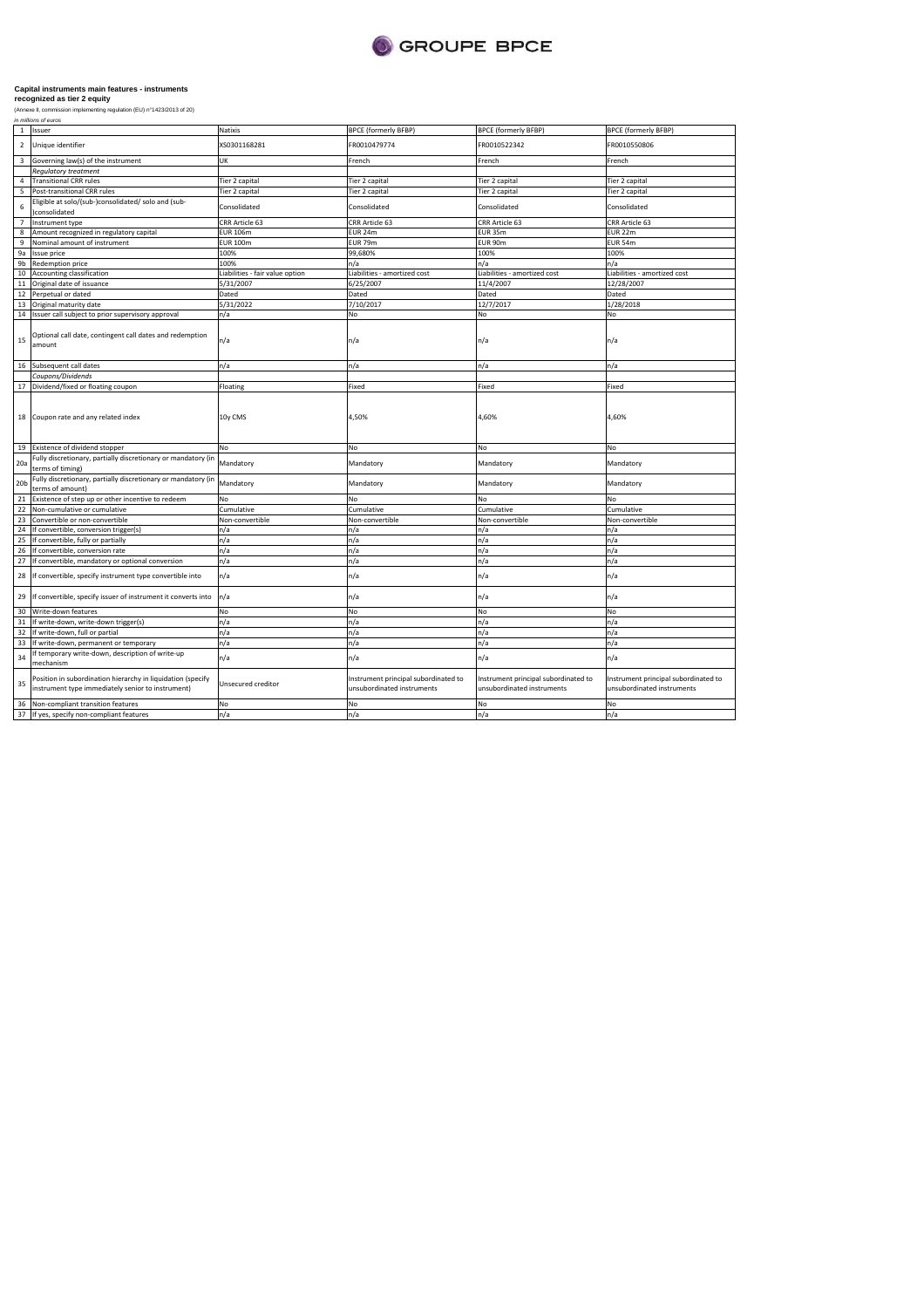

(Annexe II, commission implementing regulation (EU) n°1423/2013 of 20)

| <b>BPCE (formerly BFBP)</b><br><b>BPCE (formerly BFBP)</b><br>FR0010550806<br>French<br>Tier 2 capital<br>Tier 2 capital<br>Consolidated<br>CRR Article 63<br><b>EUR 22m</b><br><b>EUR 54m</b><br>100%<br>n/a<br>Liabilities - amortized cost<br>Liabilities - amortized cost<br>12/28/2007<br>Dated<br>1/28/2018<br>No<br>n/a<br>n/a |
|---------------------------------------------------------------------------------------------------------------------------------------------------------------------------------------------------------------------------------------------------------------------------------------------------------------------------------------|
|                                                                                                                                                                                                                                                                                                                                       |
|                                                                                                                                                                                                                                                                                                                                       |
|                                                                                                                                                                                                                                                                                                                                       |
|                                                                                                                                                                                                                                                                                                                                       |
|                                                                                                                                                                                                                                                                                                                                       |
|                                                                                                                                                                                                                                                                                                                                       |
|                                                                                                                                                                                                                                                                                                                                       |
|                                                                                                                                                                                                                                                                                                                                       |
|                                                                                                                                                                                                                                                                                                                                       |
|                                                                                                                                                                                                                                                                                                                                       |
|                                                                                                                                                                                                                                                                                                                                       |
|                                                                                                                                                                                                                                                                                                                                       |
|                                                                                                                                                                                                                                                                                                                                       |
|                                                                                                                                                                                                                                                                                                                                       |
|                                                                                                                                                                                                                                                                                                                                       |
|                                                                                                                                                                                                                                                                                                                                       |
|                                                                                                                                                                                                                                                                                                                                       |
|                                                                                                                                                                                                                                                                                                                                       |
|                                                                                                                                                                                                                                                                                                                                       |
|                                                                                                                                                                                                                                                                                                                                       |
|                                                                                                                                                                                                                                                                                                                                       |
| Fixed                                                                                                                                                                                                                                                                                                                                 |
| 4,60%                                                                                                                                                                                                                                                                                                                                 |
| No                                                                                                                                                                                                                                                                                                                                    |
| Mandatory                                                                                                                                                                                                                                                                                                                             |
| Mandatory                                                                                                                                                                                                                                                                                                                             |
| No                                                                                                                                                                                                                                                                                                                                    |
| Cumulative                                                                                                                                                                                                                                                                                                                            |
| Non-convertible                                                                                                                                                                                                                                                                                                                       |
| n/a                                                                                                                                                                                                                                                                                                                                   |
| n/a                                                                                                                                                                                                                                                                                                                                   |
| n/a                                                                                                                                                                                                                                                                                                                                   |
| n/a                                                                                                                                                                                                                                                                                                                                   |
| n/a                                                                                                                                                                                                                                                                                                                                   |
| n/a                                                                                                                                                                                                                                                                                                                                   |
|                                                                                                                                                                                                                                                                                                                                       |
| <b>No</b>                                                                                                                                                                                                                                                                                                                             |
| n/a                                                                                                                                                                                                                                                                                                                                   |
| n/a                                                                                                                                                                                                                                                                                                                                   |
| n/a                                                                                                                                                                                                                                                                                                                                   |
| n/a                                                                                                                                                                                                                                                                                                                                   |
| Instrument principal subordinated to<br>Instrument principal subordinated to<br>unsubordinated instruments<br>unsubordinated instruments                                                                                                                                                                                              |
| No<br>n/a                                                                                                                                                                                                                                                                                                                             |
|                                                                                                                                                                                                                                                                                                                                       |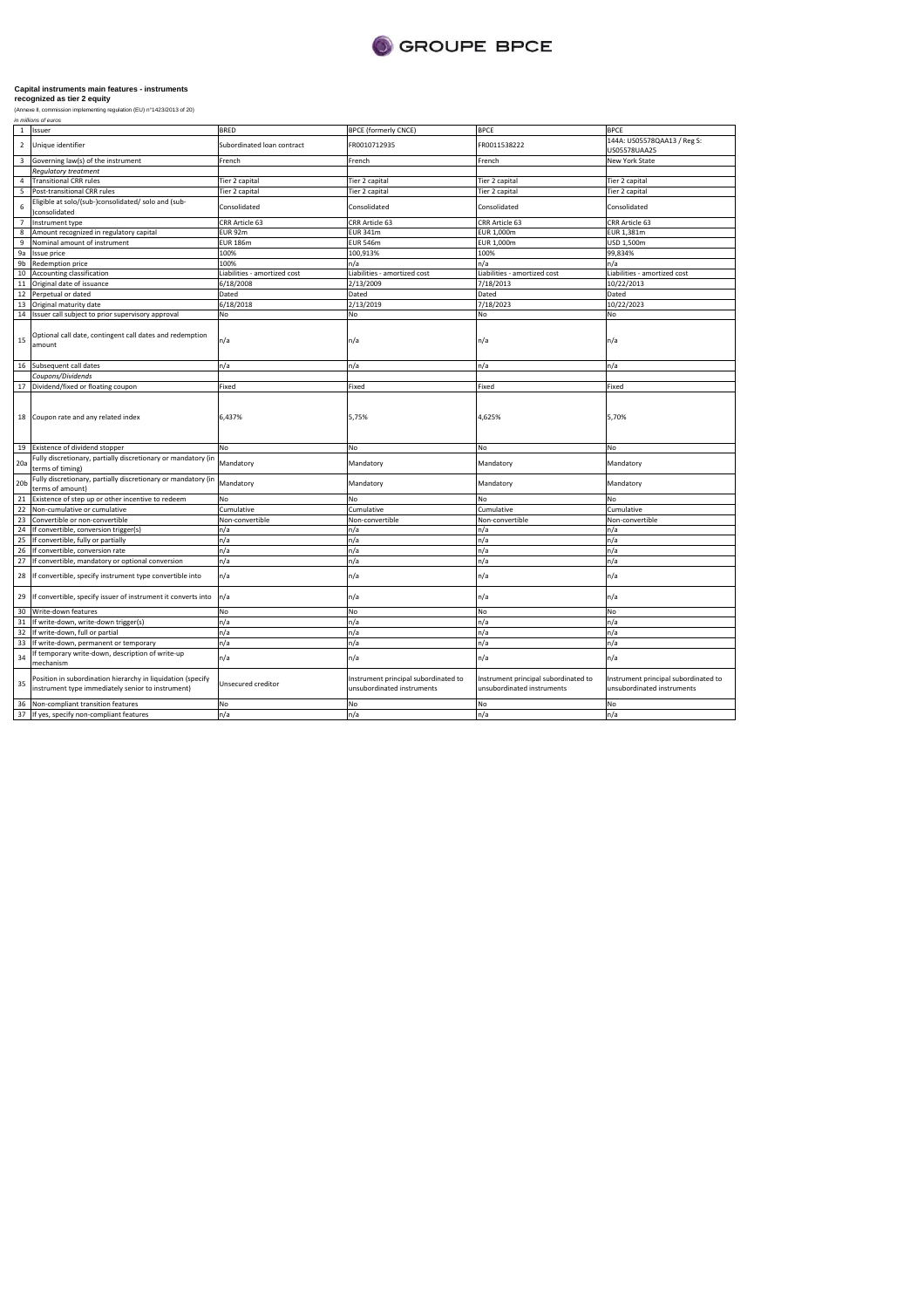

(Annexe II, commission implementing regulation (EU) n°1423/2013 of 20)

|                 | in millions of euros                                                                                             |                              |                                                                    |                                                                    |                                                                    |  |  |
|-----------------|------------------------------------------------------------------------------------------------------------------|------------------------------|--------------------------------------------------------------------|--------------------------------------------------------------------|--------------------------------------------------------------------|--|--|
| $\mathbf{1}$    | Issuer                                                                                                           | <b>BRED</b>                  | <b>BPCE (formerly CNCE)</b>                                        | BPCE                                                               | <b>BPCE</b>                                                        |  |  |
| $\overline{2}$  | Unique identifier                                                                                                | Subordinated loan contract   | FR0010712935                                                       | R0011538222                                                        | 144A: US05578QAA13 / Reg S:<br>US05578UAA25                        |  |  |
| 3               | Governing law(s) of the instrument                                                                               | French                       | French                                                             | French                                                             | <b>New York State</b>                                              |  |  |
|                 | <b>Regulatory treatment</b>                                                                                      |                              |                                                                    |                                                                    |                                                                    |  |  |
| $\Delta$        | <b>Transitional CRR rules</b>                                                                                    | Tier 2 capital               | Tier 2 capital                                                     | Tier 2 capital                                                     | Tier 2 capital                                                     |  |  |
| 5               | Post-transitional CRR rules                                                                                      | Tier 2 capital               | Tier 2 capital                                                     | Tier 2 capital                                                     | Tier 2 capital                                                     |  |  |
| 6               | Eligible at solo/(sub-)consolidated/ solo and (sub-<br>)consolidated                                             | Consolidated                 | Consolidated                                                       | Consolidated                                                       | Consolidated                                                       |  |  |
| $\overline{7}$  | Instrument type                                                                                                  | CRR Article 63               | CRR Article 63                                                     | CRR Article 63                                                     | CRR Article 63                                                     |  |  |
| 8               | Amount recognized in regulatory capital                                                                          | <b>EUR 92m</b>               | <b>EUR 341m</b>                                                    | EUR 1,000m                                                         | EUR 1,381m                                                         |  |  |
| 9               | Nominal amount of instrument                                                                                     | <b>EUR 186m</b>              | <b>EUR 546m</b>                                                    | EUR 1,000m                                                         | USD 1,500m                                                         |  |  |
| 9a              | Issue price                                                                                                      | 100%                         | 100,913%                                                           | 100%                                                               | 99,834%                                                            |  |  |
| 9b              | Redemption price                                                                                                 | 100%                         | n/a                                                                | n/a                                                                | n/a                                                                |  |  |
| 10              | Accounting classification                                                                                        | Liabilities - amortized cost | Liabilities - amortized cost                                       | Liabilities - amortized cost                                       | Liabilities - amortized cost                                       |  |  |
| 11              | Original date of issuance                                                                                        | 6/18/2008                    | 2/13/2009                                                          | 7/18/2013                                                          | 10/22/2013                                                         |  |  |
|                 |                                                                                                                  |                              | Dated                                                              |                                                                    |                                                                    |  |  |
| 12              | Perpetual or dated                                                                                               | Dated                        |                                                                    | Dated                                                              | Dated                                                              |  |  |
| 13              | Original maturity date                                                                                           | 6/18/2018                    | 2/13/2019                                                          | 7/18/2023                                                          | 10/22/2023                                                         |  |  |
| 14              | Issuer call subject to prior supervisory approval                                                                | No                           | No                                                                 | No                                                                 | No                                                                 |  |  |
| 15              | Optional call date, contingent call dates and redemption<br>amount                                               | n/a                          | n/a                                                                | n/a                                                                | n/a                                                                |  |  |
| 16              | Subsequent call dates                                                                                            | n/a                          | n/a                                                                | n/a                                                                | n/a                                                                |  |  |
|                 | Coupons/Dividends                                                                                                |                              |                                                                    |                                                                    |                                                                    |  |  |
|                 | 17 Dividend/fixed or floating coupon                                                                             | Fixed                        | Fixed                                                              | Fixed                                                              | Fixed                                                              |  |  |
|                 | 18 Coupon rate and any related index                                                                             | 6,437%                       | 5,75%                                                              | 4,625%                                                             | 5,70%                                                              |  |  |
| 19              | Existence of dividend stopper                                                                                    | No                           | No                                                                 | No                                                                 | No                                                                 |  |  |
| 20a             | Fully discretionary, partially discretionary or mandatory (in<br>terms of timing)                                | Mandatory                    | Mandatory                                                          | Mandatory                                                          | Mandatory                                                          |  |  |
| 20 <sub>b</sub> | Fully discretionary, partially discretionary or mandatory (in<br>terms of amount)                                | Mandatory                    | Mandatory                                                          | Mandatory                                                          | Mandatory                                                          |  |  |
| 21              | Existence of step up or other incentive to redeem                                                                | No                           | No                                                                 | No                                                                 | No                                                                 |  |  |
| 22              | Non-cumulative or cumulative                                                                                     | Cumulative                   | Cumulative                                                         | Cumulative                                                         | Cumulative                                                         |  |  |
| 23              | Convertible or non-convertible                                                                                   | Non-convertible              | Non-convertible                                                    | Non-convertible                                                    | Non-convertible                                                    |  |  |
| 24              | If convertible, conversion trigger(s)                                                                            | n/a                          | n/a                                                                | n/a                                                                | n/a                                                                |  |  |
| 25              | If convertible, fully or partially                                                                               | n/a                          | n/a                                                                | n/a                                                                | n/a                                                                |  |  |
| 26              | If convertible, conversion rate                                                                                  | n/a                          | n/a                                                                | n/a                                                                | n/a                                                                |  |  |
| 27              | If convertible, mandatory or optional conversion                                                                 | n/a                          | n/a                                                                | n/a                                                                | n/a                                                                |  |  |
| 28              | If convertible, specify instrument type convertible into                                                         | n/a                          | n/a                                                                | n/a                                                                | n/a                                                                |  |  |
| 29              | If convertible, specify issuer of instrument it converts into                                                    | n/a                          | n/a                                                                | n/a                                                                | n/a                                                                |  |  |
| 30              | Write-down features                                                                                              | No                           | No                                                                 | No                                                                 | No                                                                 |  |  |
| 31              | If write-down, write-down trigger(s)                                                                             | n/a                          | n/a                                                                | n/a                                                                | n/a                                                                |  |  |
| 32              | If write-down, full or partial                                                                                   | n/a                          | n/a                                                                | n/a                                                                | n/a                                                                |  |  |
| 33              | If write-down, permanent or temporary                                                                            | n/a                          | n/a                                                                | n/a                                                                | n/a                                                                |  |  |
| 34              | If temporary write-down, description of write-up<br>mechanism                                                    | n/a                          | n/a                                                                | n/a                                                                | n/a                                                                |  |  |
| 35              | Position in subordination hierarchy in liquidation (specify<br>instrument type immediately senior to instrument) | Unsecured creditor           | Instrument principal subordinated to<br>unsubordinated instruments | Instrument principal subordinated to<br>unsubordinated instruments | Instrument principal subordinated to<br>unsubordinated instruments |  |  |
| 36              | Non-compliant transition features                                                                                | No                           | No                                                                 | No                                                                 | No                                                                 |  |  |
| 37              | If yes, specify non-compliant features                                                                           | n/a                          | n/a                                                                | n/a                                                                | n/a                                                                |  |  |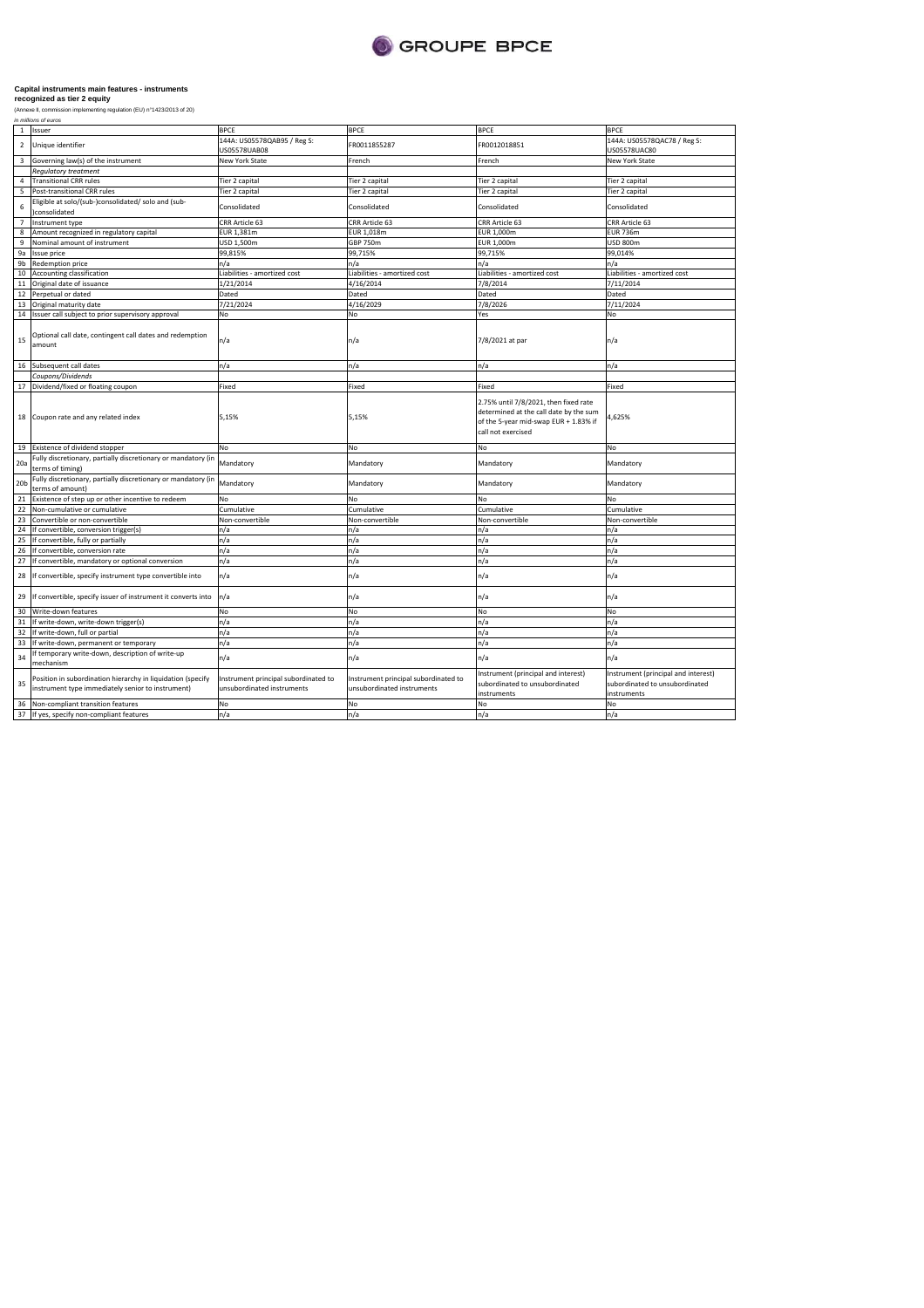

|                 | ,,,,,,,,,,,,,,,,,,,,,,,                                                                                          |                                                                    |                                                                    |                                                                                                                                                |                                                                                      |
|-----------------|------------------------------------------------------------------------------------------------------------------|--------------------------------------------------------------------|--------------------------------------------------------------------|------------------------------------------------------------------------------------------------------------------------------------------------|--------------------------------------------------------------------------------------|
| $\mathbf{1}$    | Issuer                                                                                                           | <b>BPCE</b>                                                        | <b>BPCE</b>                                                        | <b>BPCE</b>                                                                                                                                    | <b>BPCE</b>                                                                          |
| $\overline{2}$  | Unique identifier                                                                                                | 144A: US05578QAB95 / Reg S:<br>US05578UAB08                        | FR0011855287                                                       | FR0012018851                                                                                                                                   | 144A: US05578QAC78 / Reg S:<br>US05578UAC80                                          |
| $\overline{3}$  | Governing law(s) of the instrument                                                                               | New York State                                                     | French                                                             | French                                                                                                                                         | New York State                                                                       |
|                 | <b>Regulatory treatment</b>                                                                                      |                                                                    |                                                                    |                                                                                                                                                |                                                                                      |
| $\overline{4}$  | <b>Transitional CRR rules</b>                                                                                    | Tier 2 capital                                                     | Tier 2 capital                                                     | Tier 2 capital                                                                                                                                 | Tier 2 capital                                                                       |
| 5               | Post-transitional CRR rules                                                                                      | Tier 2 capital                                                     | Tier 2 capital                                                     | Tier 2 capital                                                                                                                                 | Tier 2 capital                                                                       |
| 6               | Eligible at solo/(sub-)consolidated/ solo and (sub-<br>)consolidated                                             | Consolidated                                                       | Consolidated                                                       | Consolidated                                                                                                                                   | Consolidated                                                                         |
| $\overline{7}$  | Instrument type                                                                                                  | CRR Article 63                                                     | CRR Article 63                                                     | CRR Article 63                                                                                                                                 | CRR Article 63                                                                       |
| 8               | Amount recognized in regulatory capital                                                                          | EUR 1,381m                                                         | EUR 1.018m                                                         | EUR 1.000m                                                                                                                                     | <b>EUR 736m</b>                                                                      |
| 9               | Nominal amount of instrument                                                                                     | USD 1,500m                                                         | GBP 750m                                                           | EUR 1,000m                                                                                                                                     | <b>USD 800m</b>                                                                      |
| 9а              | Issue price                                                                                                      | 99,815%                                                            | 99,715%                                                            | 99,715%                                                                                                                                        | 99,014%                                                                              |
| 9b              | Redemption price                                                                                                 | n/a                                                                | n/a                                                                | n/a                                                                                                                                            | n/a                                                                                  |
| 10              | Accounting classification                                                                                        | Liabilities - amortized cost                                       | Liabilities - amortized cost                                       | Liabilities - amortized cost                                                                                                                   | Liabilities - amortized cost                                                         |
| $11\,$          | Original date of issuance                                                                                        | 1/21/2014                                                          | 4/16/2014                                                          | 7/8/2014                                                                                                                                       | 7/11/2014                                                                            |
| 12              | Perpetual or dated                                                                                               | Dated                                                              | Dated                                                              | Dated                                                                                                                                          | Dated                                                                                |
| 13              | Original maturity date                                                                                           | 7/21/2024                                                          | 4/16/2029                                                          | 7/8/2026                                                                                                                                       | 7/11/2024                                                                            |
| 14              | Issuer call subject to prior supervisory approval                                                                | No                                                                 | No                                                                 | Yes                                                                                                                                            | No                                                                                   |
| 15              | Optional call date, contingent call dates and redemption<br>amount                                               | n/a                                                                | n/a                                                                | 7/8/2021 at par                                                                                                                                | n/a                                                                                  |
|                 | 16 Subsequent call dates                                                                                         | n/a                                                                | n/a                                                                | n/a                                                                                                                                            | n/a                                                                                  |
|                 | Coupons/Dividends                                                                                                |                                                                    |                                                                    |                                                                                                                                                |                                                                                      |
|                 | 17 Dividend/fixed or floating coupon                                                                             | Fixed                                                              | Fixed                                                              | Fixed                                                                                                                                          | Fixed                                                                                |
|                 | 18 Coupon rate and any related index                                                                             | 5,15%                                                              | 5,15%                                                              | 2.75% until 7/8/2021, then fixed rate<br>determined at the call date by the sum<br>of the 5-year mid-swap EUR + 1.83% if<br>call not exercised | 4,625%                                                                               |
|                 | 19 Existence of dividend stopper                                                                                 | No                                                                 | No                                                                 | No                                                                                                                                             | No                                                                                   |
| 20a             | Fully discretionary, partially discretionary or mandatory (in<br>terms of timing)                                | Mandatory                                                          | Mandatory                                                          | Mandatory                                                                                                                                      | Mandatory                                                                            |
| 20 <sub>b</sub> | Fully discretionary, partially discretionary or mandatory (in<br>terms of amount)                                | Mandatory                                                          | Mandatory                                                          | Mandatory                                                                                                                                      | Mandatory                                                                            |
| 21              | Existence of step up or other incentive to redeem                                                                | No                                                                 | No                                                                 | No                                                                                                                                             | No                                                                                   |
| 22              | Non-cumulative or cumulative                                                                                     | Cumulative                                                         | Cumulative                                                         | Cumulative                                                                                                                                     | Cumulative                                                                           |
| 23              | Convertible or non-convertible                                                                                   | Non-convertible                                                    | Non-convertible                                                    | Non-convertible                                                                                                                                | Non-convertible                                                                      |
| 24              | If convertible, conversion trigger(s)                                                                            | n/a                                                                | n/a                                                                | n/a                                                                                                                                            | n/a                                                                                  |
| 25              | If convertible, fully or partially                                                                               | n/a                                                                | n/a                                                                | n/a                                                                                                                                            | n/a                                                                                  |
| 26              | If convertible, conversion rate                                                                                  | n/a                                                                | n/a                                                                | n/a                                                                                                                                            | n/a                                                                                  |
| 27              | If convertible, mandatory or optional conversion                                                                 | n/a                                                                | n/a                                                                | n/a                                                                                                                                            | n/a                                                                                  |
| 28              | If convertible, specify instrument type convertible into                                                         | n/a                                                                | n/a                                                                | n/a                                                                                                                                            | n/a                                                                                  |
| 29              | If convertible, specify issuer of instrument it converts into                                                    | n/a                                                                | n/a                                                                | n/a                                                                                                                                            | n/a                                                                                  |
| 30              | Write-down features                                                                                              | No                                                                 | No                                                                 | No                                                                                                                                             | No                                                                                   |
| 31              | If write-down, write-down trigger(s)                                                                             | n/a                                                                | n/a                                                                | n/a                                                                                                                                            | n/a                                                                                  |
| 32              | If write-down, full or partial                                                                                   | n/a                                                                | n/a                                                                | n/a                                                                                                                                            | n/a                                                                                  |
| 33              | If write-down, permanent or temporary                                                                            | n/a                                                                | n/a                                                                | n/a                                                                                                                                            | n/a                                                                                  |
| 34              | If temporary write-down, description of write-up<br>mechanism                                                    | n/a                                                                | n/a                                                                | n/a                                                                                                                                            | n/a                                                                                  |
| 35              | Position in subordination hierarchy in liquidation (specify<br>instrument type immediately senior to instrument) | Instrument principal subordinated to<br>unsubordinated instruments | Instrument principal subordinated to<br>unsubordinated instruments | Instrument (principal and interest)<br>subordinated to unsubordinated<br>instruments                                                           | Instrument (principal and interest)<br>subordinated to unsubordinated<br>instruments |
| 36              | Non-compliant transition features                                                                                | No                                                                 | No                                                                 | No                                                                                                                                             | No                                                                                   |
|                 | 37 If yes, specify non-compliant features                                                                        | n/a                                                                | n/a                                                                | n/a                                                                                                                                            | n/a                                                                                  |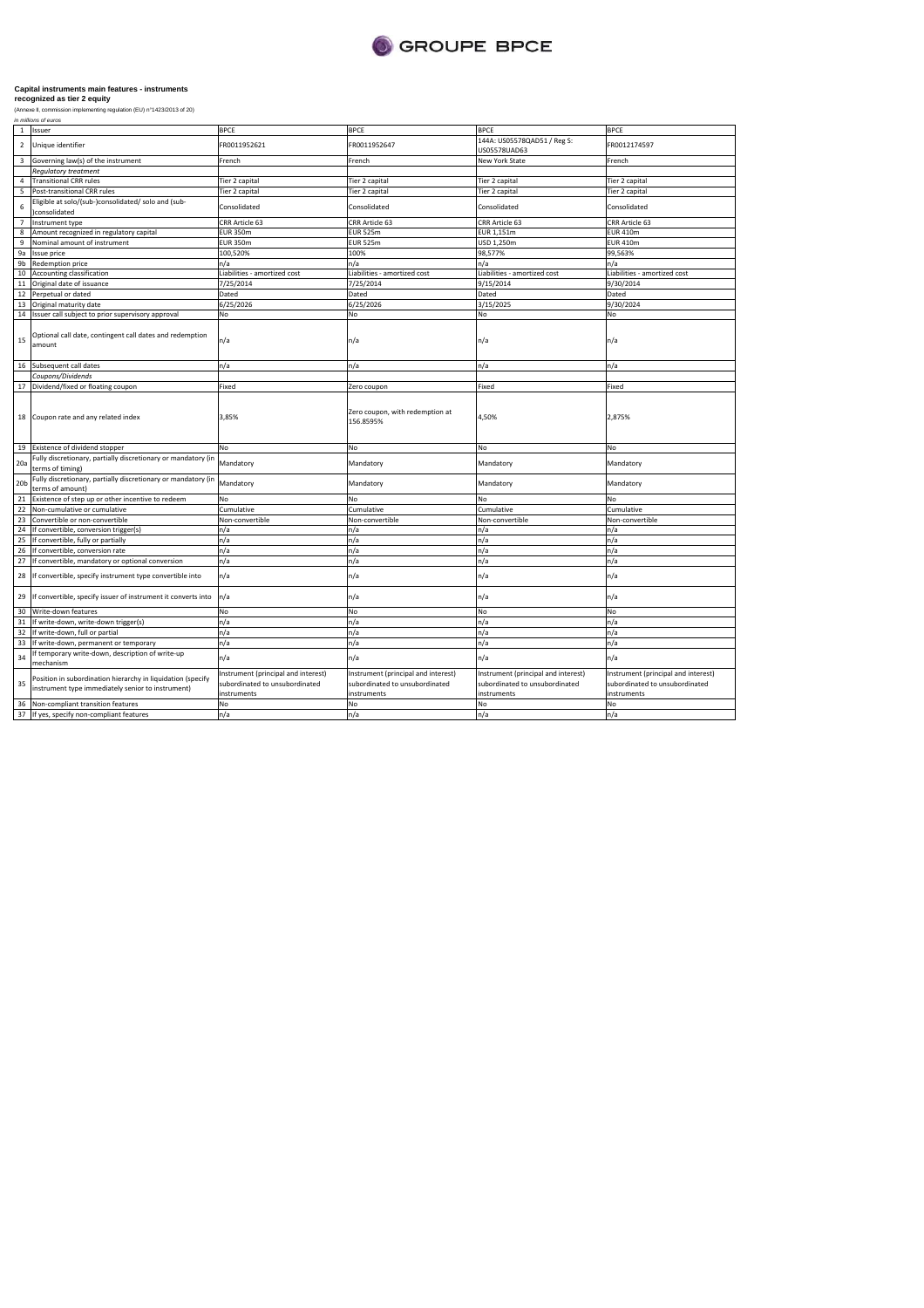

| $\mathbf{1}$            | Issuer                                                                                                           | <b>BPCE</b>                                                                          | <b>BPCE</b>                                                                          | <b>BPCE</b>                                                                          | <b>BPCE</b>                                                                          |
|-------------------------|------------------------------------------------------------------------------------------------------------------|--------------------------------------------------------------------------------------|--------------------------------------------------------------------------------------|--------------------------------------------------------------------------------------|--------------------------------------------------------------------------------------|
| $\overline{2}$          | Unique identifier                                                                                                | FR0011952621                                                                         | FR0011952647                                                                         | 144A: US05578QAD51 / Reg S:<br>US05578UAD63                                          | FR0012174597                                                                         |
| $\overline{\mathbf{3}}$ | Governing law(s) of the instrument                                                                               | French                                                                               | French                                                                               | New York State                                                                       | French                                                                               |
|                         | <b>Requlatory treatment</b>                                                                                      |                                                                                      |                                                                                      |                                                                                      |                                                                                      |
| $\overline{4}$          | <b>Transitional CRR rules</b>                                                                                    | Tier 2 capital                                                                       | Tier 2 capital                                                                       | Tier 2 capital                                                                       | Tier 2 capital                                                                       |
| 5                       | Post-transitional CRR rules                                                                                      | Tier 2 capital                                                                       | Tier 2 capital                                                                       | Tier 2 capital                                                                       | Tier 2 capital                                                                       |
| 6                       | Eligible at solo/(sub-)consolidated/ solo and (sub-<br>)consolidated                                             | Consolidated                                                                         | Consolidated                                                                         | Consolidated                                                                         | Consolidated                                                                         |
| $7^{\circ}$             | Instrument type                                                                                                  | CRR Article 63                                                                       | CRR Article 63                                                                       | CRR Article 63                                                                       | CRR Article 63                                                                       |
| 8                       | Amount recognized in regulatory capital                                                                          | <b>EUR 350m</b>                                                                      | <b>EUR 525m</b>                                                                      | EUR 1,151m                                                                           | <b>EUR 410m</b>                                                                      |
| 9                       | Nominal amount of instrument                                                                                     | <b>EUR 350m</b>                                                                      | <b>EUR 525m</b>                                                                      | USD 1,250m                                                                           | <b>EUR 410m</b>                                                                      |
| 9a                      | <b>Issue price</b>                                                                                               | 100,520%                                                                             | 100%                                                                                 | 98,577%                                                                              | 99,563%                                                                              |
| 9 <sub>b</sub>          | Redemption price                                                                                                 | n/a                                                                                  | n/a                                                                                  | n/a                                                                                  | n/a                                                                                  |
| 10                      | Accounting classification                                                                                        | Liabilities - amortized cost                                                         | Liabilities - amortized cost                                                         | Liabilities - amortized cost                                                         | Liabilities - amortized cost                                                         |
| 11                      | Original date of issuance                                                                                        | 7/25/2014                                                                            | 7/25/2014                                                                            | 9/15/2014                                                                            | 9/30/2014                                                                            |
| 12                      | Perpetual or dated                                                                                               | Dated                                                                                | Dated                                                                                | Dated                                                                                | Dated                                                                                |
| 13                      | Original maturity date                                                                                           | 6/25/2026                                                                            | 6/25/2026                                                                            | 3/15/2025                                                                            | 9/30/2024                                                                            |
| 14                      | Issuer call subject to prior supervisory approval                                                                | No                                                                                   | No                                                                                   | No                                                                                   | No                                                                                   |
|                         |                                                                                                                  |                                                                                      |                                                                                      |                                                                                      |                                                                                      |
| 15                      | Optional call date, contingent call dates and redemption<br>amount                                               | n/a                                                                                  | n/a                                                                                  | n/a                                                                                  | n/a                                                                                  |
|                         | 16 Subsequent call dates                                                                                         | n/a                                                                                  | n/a                                                                                  | n/a                                                                                  | n/a                                                                                  |
|                         | Coupons/Dividends                                                                                                |                                                                                      |                                                                                      |                                                                                      |                                                                                      |
|                         | 17 Dividend/fixed or floating coupon                                                                             | Fixed                                                                                | Zero coupon                                                                          | Fixed                                                                                | Fixed                                                                                |
| 18                      | Coupon rate and any related index                                                                                | 3,85%                                                                                | Zero coupon, with redemption at<br>156.8595%                                         | 4,50%                                                                                | 2,875%                                                                               |
| 19                      | Existence of dividend stopper                                                                                    | No                                                                                   | No                                                                                   | No                                                                                   | No                                                                                   |
| 20a                     | Fully discretionary, partially discretionary or mandatory (in<br>terms of timing)                                | Mandatory                                                                            | Mandatory                                                                            | Mandatory                                                                            | Mandatory                                                                            |
| 20 <sub>b</sub>         | Fully discretionary, partially discretionary or mandatory (in<br>terms of amount)                                | Mandatory                                                                            | Mandatory                                                                            | Mandatory                                                                            | Mandatory                                                                            |
| 21                      | Existence of step up or other incentive to redeem                                                                | No                                                                                   | No                                                                                   | No                                                                                   | <b>No</b>                                                                            |
| 22                      | Non-cumulative or cumulative                                                                                     | Cumulative                                                                           | Cumulative                                                                           | Cumulative                                                                           | Cumulative                                                                           |
| 23                      | Convertible or non-convertible                                                                                   | Non-convertible                                                                      | Non-convertible                                                                      | Non-convertible                                                                      | Non-convertible                                                                      |
| 24                      | If convertible, conversion trigger(s)                                                                            | n/a                                                                                  | n/a                                                                                  | n/a                                                                                  | n/a                                                                                  |
| 25                      | If convertible, fully or partially                                                                               | n/a                                                                                  | n/a                                                                                  | n/a                                                                                  | n/a                                                                                  |
| 26                      | If convertible, conversion rate                                                                                  | n/a                                                                                  | n/a                                                                                  | n/a                                                                                  | n/a                                                                                  |
| 27                      | If convertible, mandatory or optional conversion                                                                 | n/a                                                                                  | n/a                                                                                  | n/a                                                                                  | n/a                                                                                  |
| 28                      | If convertible, specify instrument type convertible into                                                         | n/a                                                                                  | n/a                                                                                  | n/a                                                                                  | n/a                                                                                  |
| 29                      | If convertible, specify issuer of instrument it converts into                                                    | n/a                                                                                  | n/a                                                                                  | n/a                                                                                  | n/a                                                                                  |
| 30                      | Write-down features                                                                                              | No                                                                                   | No                                                                                   | No                                                                                   | No                                                                                   |
| 31                      | If write-down, write-down trigger(s)                                                                             | n/a                                                                                  | n/a                                                                                  | n/a                                                                                  | n/a                                                                                  |
| 32                      | If write-down, full or partial                                                                                   | n/a                                                                                  | n/a                                                                                  | n/a                                                                                  | n/a                                                                                  |
| 33                      | If write-down, permanent or temporary                                                                            | n/a                                                                                  | n/a                                                                                  | n/a                                                                                  | n/a                                                                                  |
| 34                      | If temporary write-down, description of write-up<br>mechanism                                                    | n/a                                                                                  | n/a                                                                                  | n/a                                                                                  | n/a                                                                                  |
| 35                      | Position in subordination hierarchy in liquidation (specify<br>instrument type immediately senior to instrument) | Instrument (principal and interest)<br>subordinated to unsubordinated<br>instruments | Instrument (principal and interest)<br>subordinated to unsubordinated<br>instruments | Instrument (principal and interest)<br>subordinated to unsubordinated<br>instruments | Instrument (principal and interest)<br>subordinated to unsubordinated<br>instruments |
| 36                      | Non-compliant transition features                                                                                | No                                                                                   | No                                                                                   | No                                                                                   | No                                                                                   |
| 37                      | If yes, specify non-compliant features                                                                           | n/a                                                                                  | n/a                                                                                  | n/a                                                                                  | n/a                                                                                  |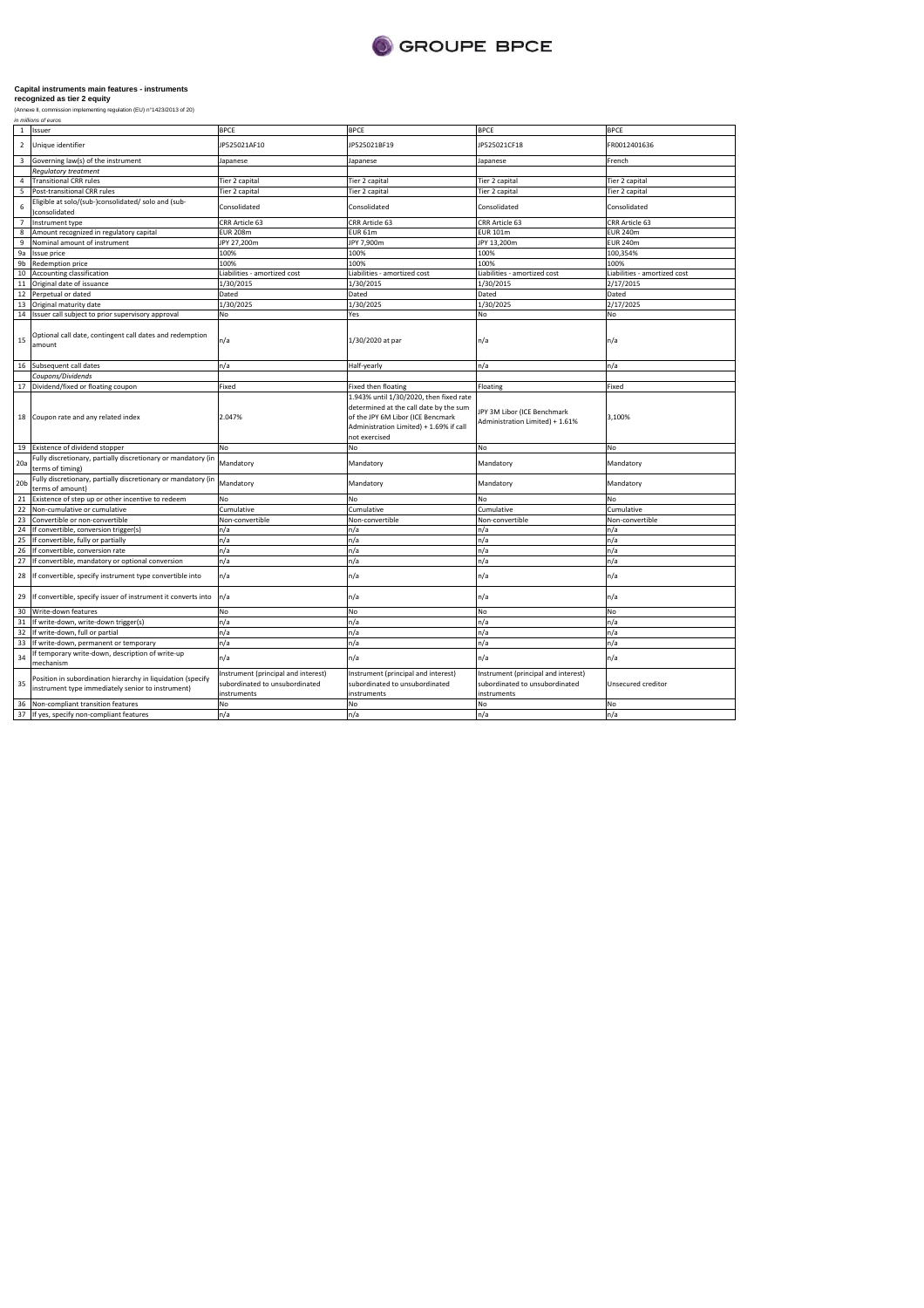

|                 | ,,,,,,,,,,,,,,,,,,,,,,,,                                                                                         |                                                                                      |                                                                                                                                                                                    |                                                                                      |                              |
|-----------------|------------------------------------------------------------------------------------------------------------------|--------------------------------------------------------------------------------------|------------------------------------------------------------------------------------------------------------------------------------------------------------------------------------|--------------------------------------------------------------------------------------|------------------------------|
| $\mathbf{1}$    | Issuer                                                                                                           | <b>BPCE</b>                                                                          | <b>BPCE</b>                                                                                                                                                                        | <b>BPCE</b>                                                                          | <b>BPCE</b>                  |
| $\overline{2}$  | Unique identifier                                                                                                | JP525021AF10                                                                         | IP525021BF19                                                                                                                                                                       | JP525021CF18                                                                         | FR0012401636                 |
| $\overline{3}$  | Governing law(s) of the instrument                                                                               | Japanese                                                                             | Japanese                                                                                                                                                                           | Japanese                                                                             | French                       |
|                 | <b>Requlatory treatment</b>                                                                                      |                                                                                      |                                                                                                                                                                                    |                                                                                      |                              |
| 4               | <b>Transitional CRR rules</b>                                                                                    | Tier 2 capital                                                                       | Tier 2 capital                                                                                                                                                                     | Tier 2 capital                                                                       | Tier 2 capital               |
| 5               | Post-transitional CRR rules                                                                                      | Tier 2 capital                                                                       | Tier 2 capital                                                                                                                                                                     | Tier 2 capital                                                                       | Tier 2 capital               |
| 6               | Eligible at solo/(sub-)consolidated/ solo and (sub-<br>)consolidated                                             | Consolidated                                                                         | Consolidated                                                                                                                                                                       | Consolidated                                                                         | Consolidated                 |
| $\overline{7}$  | Instrument type                                                                                                  | CRR Article 63                                                                       | CRR Article 63                                                                                                                                                                     | CRR Article 63                                                                       | CRR Article 63               |
| 8               | Amount recognized in regulatory capital                                                                          | <b>EUR 208m</b>                                                                      | <b>EUR 61m</b>                                                                                                                                                                     | <b>EUR 101m</b>                                                                      | <b>EUR 240m</b>              |
| 9               | Nominal amount of instrument                                                                                     | JPY 27,200m                                                                          | JPY 7,900m                                                                                                                                                                         | JPY 13,200m                                                                          | <b>EUR 240m</b>              |
| 9a              | Issue price                                                                                                      | 100%                                                                                 | 100%                                                                                                                                                                               | 100%                                                                                 | 100,354%                     |
| 9 <sub>b</sub>  | Redemption price                                                                                                 | 100%                                                                                 | 100%                                                                                                                                                                               | 100%                                                                                 | 100%                         |
| 10              | Accounting classification                                                                                        | Liabilities - amortized cost                                                         | Liabilities - amortized cost                                                                                                                                                       | Liabilities - amortized cost                                                         | Liabilities - amortized cost |
| $11\,$          | Original date of issuance                                                                                        | 1/30/2015                                                                            | 1/30/2015                                                                                                                                                                          | 1/30/2015                                                                            | 2/17/2015                    |
| 12              | Perpetual or dated                                                                                               | Dated                                                                                | Dated                                                                                                                                                                              | Dated                                                                                | Dated                        |
| 13              | Original maturity date                                                                                           | 1/30/2025                                                                            | 1/30/2025                                                                                                                                                                          | 1/30/2025                                                                            | 2/17/2025                    |
| 14              | Issuer call subject to prior supervisory approval                                                                | No                                                                                   | Yes                                                                                                                                                                                | <b>No</b>                                                                            | No                           |
| 15              | Optional call date, contingent call dates and redemption<br>amount                                               | n/a                                                                                  | 1/30/2020 at par                                                                                                                                                                   | n/a                                                                                  | n/a                          |
| 16              | Subsequent call dates                                                                                            | n/a                                                                                  | Half-yearly                                                                                                                                                                        | n/a                                                                                  | n/a                          |
|                 | Coupons/Dividends                                                                                                |                                                                                      |                                                                                                                                                                                    |                                                                                      |                              |
| 17              | Dividend/fixed or floating coupon                                                                                | Fixed                                                                                | <b>Fixed then floating</b>                                                                                                                                                         | Floating                                                                             | Fixed                        |
| 18              | Coupon rate and any related index                                                                                | 2.047%                                                                               | 1.943% until 1/30/2020, then fixed rate<br>determined at the call date by the sum<br>of the JPY 6M Libor (ICE Bencmark<br>Administration Limited) + 1.69% if call<br>not exercised | JPY 3M Libor (ICE Benchmark<br>Administration Limited) + 1.61%                       | 3,100%                       |
| 19              | Existence of dividend stopper                                                                                    | No                                                                                   | No                                                                                                                                                                                 | No                                                                                   | No                           |
| 20a             | Fully discretionary, partially discretionary or mandatory (in<br>terms of timing)                                | Mandatory                                                                            | Mandatory                                                                                                                                                                          | Mandatory                                                                            | Mandatory                    |
| 20 <sub>b</sub> | Fully discretionary, partially discretionary or mandatory (in<br>terms of amount)                                | Mandatory                                                                            | Mandatory                                                                                                                                                                          | Mandatory                                                                            | Mandatory                    |
| 21              | Existence of step up or other incentive to redeem                                                                | No                                                                                   | No                                                                                                                                                                                 | No                                                                                   | No                           |
| 22              | Non-cumulative or cumulative                                                                                     | Cumulative                                                                           | Cumulative                                                                                                                                                                         | Cumulative                                                                           | Cumulative                   |
| 23              | Convertible or non-convertible                                                                                   | Non-convertible                                                                      | Non-convertible                                                                                                                                                                    | Non-convertible                                                                      | Non-convertible              |
| 24              | If convertible, conversion trigger(s)                                                                            | n/a                                                                                  | n/a                                                                                                                                                                                | n/a                                                                                  | n/a                          |
| 25              | If convertible, fully or partially                                                                               | n/a                                                                                  | n/a                                                                                                                                                                                | n/a                                                                                  | n/a                          |
| 26              | If convertible, conversion rate                                                                                  | n/a                                                                                  | n/a                                                                                                                                                                                | n/a                                                                                  | n/a                          |
| 27              | If convertible, mandatory or optional conversion                                                                 | n/a                                                                                  | n/a                                                                                                                                                                                | n/a                                                                                  | n/a                          |
| 28              | If convertible, specify instrument type convertible into                                                         | n/a                                                                                  | n/a                                                                                                                                                                                | n/a                                                                                  | n/a                          |
| 29              | If convertible, specify issuer of instrument it converts into                                                    | n/a                                                                                  | n/a                                                                                                                                                                                | n/a                                                                                  | n/a                          |
| 30              | Write-down features                                                                                              | No                                                                                   | No                                                                                                                                                                                 | No                                                                                   | No                           |
| 31              | If write-down, write-down trigger(s)                                                                             | n/a                                                                                  | n/a                                                                                                                                                                                | n/a                                                                                  | n/a                          |
| 32              | If write-down, full or partial                                                                                   | n/a                                                                                  | n/a                                                                                                                                                                                | n/a                                                                                  | n/a                          |
| 33              | If write-down, permanent or temporary                                                                            | n/a                                                                                  | n/a                                                                                                                                                                                | n/a                                                                                  | n/a                          |
| 34              | f temporary write-down, description of write-up<br>mechanism                                                     | n/a                                                                                  | n/a                                                                                                                                                                                | n/a                                                                                  | n/a                          |
| 35              | Position in subordination hierarchy in liquidation (specify<br>instrument type immediately senior to instrument) | Instrument (principal and interest)<br>subordinated to unsubordinated<br>instruments | Instrument (principal and interest)<br>subordinated to unsubordinated<br>instruments                                                                                               | Instrument (principal and interest)<br>subordinated to unsubordinated<br>instruments | Unsecured creditor           |
| 36              | Non-compliant transition features                                                                                | No                                                                                   | No                                                                                                                                                                                 | No                                                                                   | No                           |
| 37              | If yes, specify non-compliant features                                                                           | n/a                                                                                  | n/a                                                                                                                                                                                | n/a                                                                                  | n/a                          |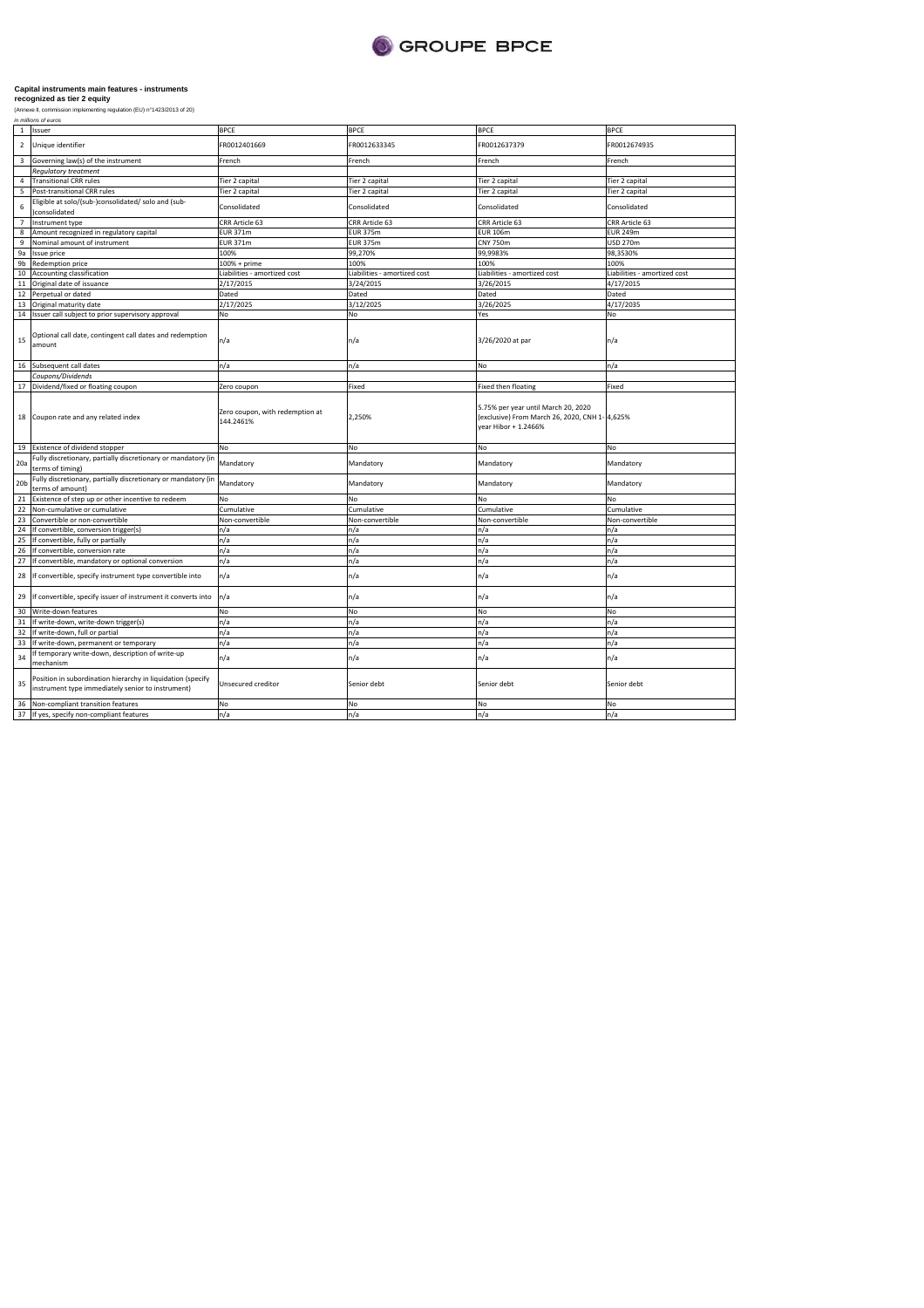

| $\mathbf{1}$    | Issuer                                                                                                           | <b>BPCE</b>                                  | <b>BPCE</b>                  | <b>BPCE</b>                                                                                                   | <b>BPCE</b>                  |
|-----------------|------------------------------------------------------------------------------------------------------------------|----------------------------------------------|------------------------------|---------------------------------------------------------------------------------------------------------------|------------------------------|
| $\overline{2}$  | Unique identifier                                                                                                | R0012401669                                  | FR0012633345                 | FR0012637379                                                                                                  | FR0012674935                 |
| 3               | Governing law(s) of the instrument                                                                               | French                                       | French                       | French                                                                                                        | French                       |
|                 | <b>Regulatory treatment</b>                                                                                      |                                              |                              |                                                                                                               |                              |
| $\overline{4}$  | <b>Transitional CRR rules</b>                                                                                    | Tier 2 capital                               | Tier 2 capital               | Tier 2 capital                                                                                                | Tier 2 capital               |
| 5               | Post-transitional CRR rules                                                                                      | Tier 2 capital                               | Tier 2 capital               | Tier 2 capital                                                                                                | Tier 2 capital               |
| 6               | Eligible at solo/(sub-)consolidated/ solo and (sub-<br>consolidated                                              | Consolidated                                 | Consolidated                 | Consolidated                                                                                                  | Consolidated                 |
| $\overline{7}$  | Instrument type                                                                                                  | CRR Article 63                               | CRR Article 63               | CRR Article 63                                                                                                | CRR Article 63               |
| 8               | Amount recognized in regulatory capital                                                                          | <b>EUR 371m</b>                              | <b>EUR 375m</b>              | <b>EUR 106m</b>                                                                                               | <b>EUR 249m</b>              |
| 9               | Nominal amount of instrument                                                                                     | <b>EUR 371m</b>                              | <b>EUR 375m</b>              | <b>CNY 750m</b>                                                                                               | <b>USD 270m</b>              |
| 9a              | <b>Issue price</b>                                                                                               | 100%                                         | 99,270%                      | 99,9983%                                                                                                      | 98,3530%                     |
| 9 <sub>b</sub>  | Redemption price                                                                                                 | 100% + prime                                 | 100%                         | 100%                                                                                                          | 100%                         |
| 10              | Accounting classification                                                                                        | Liabilities - amortized cost                 | Liabilities - amortized cost | Liabilities - amortized cost                                                                                  | Liabilities - amortized cost |
| 11              | Original date of issuance                                                                                        | 2/17/2015                                    | 3/24/2015                    | 3/26/2015                                                                                                     | 4/17/2015                    |
| 12              | Perpetual or dated                                                                                               | Dated                                        | Dated                        | Dated                                                                                                         | Dated                        |
| 13              | Original maturity date                                                                                           | 2/17/2025                                    | 3/12/2025                    | 3/26/2025                                                                                                     | 4/17/2035                    |
| 14              | Issuer call subject to prior supervisory approval                                                                | No                                           | No                           | Yes                                                                                                           | No                           |
| 15              | Optional call date, contingent call dates and redemption<br>amount                                               | n/a                                          | n/a                          | 3/26/2020 at par                                                                                              | n/a                          |
| 16              | Subsequent call dates                                                                                            | n/a                                          | n/a                          | No                                                                                                            | n/a                          |
|                 | Coupons/Dividends                                                                                                |                                              |                              |                                                                                                               |                              |
|                 | 17 Dividend/fixed or floating coupon                                                                             | Zero coupon                                  | Fixed                        | <b>Fixed then floating</b>                                                                                    | Fixed                        |
| 18              | Coupon rate and any related index                                                                                | Zero coupon, with redemption at<br>144.2461% | 2,250%                       | 5.75% per year until March 20, 2020<br>(exclusive) From March 26, 2020, CNH 1- 4,625%<br>year Hibor + 1.2466% |                              |
|                 | 19 Existence of dividend stopper                                                                                 | No                                           | No                           | No                                                                                                            | <b>No</b>                    |
| 20a             | Fully discretionary, partially discretionary or mandatory (in<br>terms of timing)                                | Mandatory                                    | Mandatory                    | Mandatory                                                                                                     | Mandatory                    |
| 20 <sub>b</sub> | Fully discretionary, partially discretionary or mandatory (in<br>terms of amount)                                | Mandatory                                    | Mandatory                    | Mandatory                                                                                                     | Mandatory                    |
| 21              | Existence of step up or other incentive to redeem                                                                | No                                           | No                           | No                                                                                                            | <b>No</b>                    |
| 22              | Non-cumulative or cumulative                                                                                     | Cumulative                                   | Cumulative                   | Cumulative                                                                                                    | Cumulative                   |
| 23              | Convertible or non-convertible                                                                                   | Non-convertible                              | Non-convertible              | Non-convertible                                                                                               | Non-convertible              |
| 24              | If convertible, conversion trigger(s)                                                                            | n/a                                          | n/a                          | n/a                                                                                                           | n/a                          |
| 25              | If convertible, fully or partially                                                                               | n/a                                          | n/a                          | n/a                                                                                                           | n/a                          |
| 26              | If convertible, conversion rate                                                                                  | n/a                                          | n/a                          | n/a                                                                                                           | n/a                          |
| 27              | If convertible, mandatory or optional conversion                                                                 | n/a                                          | n/a                          | n/a                                                                                                           | n/a                          |
| 28              | If convertible, specify instrument type convertible into                                                         | n/a                                          | n/a                          | n/a                                                                                                           | n/a                          |
| 29              | If convertible, specify issuer of instrument it converts into                                                    | n/a                                          | n/a                          | n/a                                                                                                           | n/a                          |
| 30              | Write-down features                                                                                              | No                                           | No                           | No                                                                                                            | No                           |
| 31              | If write-down, write-down trigger(s)                                                                             | n/a                                          | n/a                          | n/a                                                                                                           | n/a                          |
| 32              | If write-down, full or partial                                                                                   | n/a                                          | n/a                          | n/a                                                                                                           | n/a                          |
| 33              | If write-down, permanent or temporary                                                                            | n/a                                          | n/a                          | n/a                                                                                                           | n/a                          |
| 34              | If temporary write-down, description of write-up<br>mechanism                                                    | n/a                                          | n/a                          | n/a                                                                                                           | n/a                          |
| 35              | Position in subordination hierarchy in liquidation (specify<br>instrument type immediately senior to instrument) | <b>Unsecured creditor</b>                    | Senior debt                  | Senior debt                                                                                                   | Senior debt                  |
| 36              | Non-compliant transition features                                                                                | No                                           | No                           | No                                                                                                            | No                           |
|                 | 37 If yes, specify non-compliant features                                                                        | n/a                                          | n/a                          | n/a                                                                                                           | n/a                          |
|                 |                                                                                                                  |                                              |                              |                                                                                                               |                              |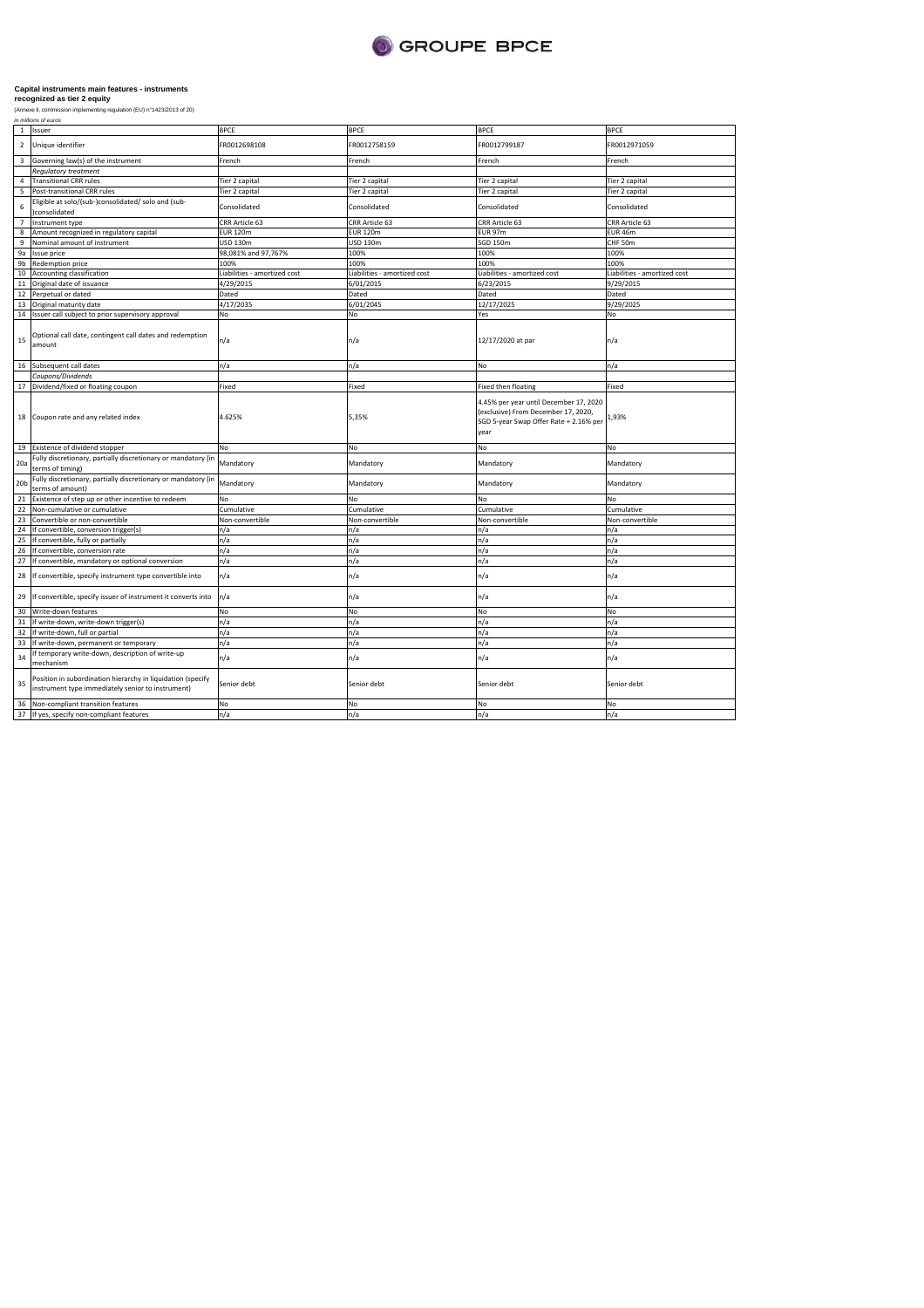

|                 | ,,,,,,,,,,,,,,,,,,,,,,,                                                                                          |                              |                              |                                                                                                                                 |                              |
|-----------------|------------------------------------------------------------------------------------------------------------------|------------------------------|------------------------------|---------------------------------------------------------------------------------------------------------------------------------|------------------------------|
| $\mathbf{1}$    | Issuer                                                                                                           | <b>BPCE</b>                  | <b>BPCE</b>                  | <b>BPCE</b>                                                                                                                     | <b>BPCE</b>                  |
| $\overline{2}$  | Unique identifier                                                                                                | FR0012698108                 | FR0012758159                 | FR0012799187                                                                                                                    | FR0012971059                 |
| $\overline{3}$  | Governing law(s) of the instrument                                                                               | French                       | French                       | French                                                                                                                          | French                       |
|                 | <b>Requlatory treatment</b>                                                                                      |                              |                              |                                                                                                                                 |                              |
| 4               | <b>Transitional CRR rules</b>                                                                                    | Tier 2 capital               | Tier 2 capital               | Tier 2 capital                                                                                                                  | Tier 2 capital               |
| 5               | Post-transitional CRR rules                                                                                      | Tier 2 capital               | Tier 2 capital               | Tier 2 capital                                                                                                                  | Tier 2 capital               |
| 6               | Eligible at solo/(sub-)consolidated/ solo and (sub-<br>)consolidated                                             | Consolidated                 | Consolidated                 | Consolidated                                                                                                                    | Consolidated                 |
| $\overline{7}$  | Instrument type                                                                                                  | CRR Article 63               | CRR Article 63               | CRR Article 63                                                                                                                  | CRR Article 63               |
| 8               | Amount recognized in regulatory capital                                                                          | <b>EUR 120m</b>              | <b>EUR 120m</b>              | EUR 97m                                                                                                                         | <b>EUR 46m</b>               |
| 9               | Nominal amount of instrument                                                                                     | USD 130m                     | <b>USD 130m</b>              | SGD 150m                                                                                                                        | CHF 50m                      |
| 9a              | <b>Issue price</b>                                                                                               | 98,081% and 97,767%          | 100%                         | 100%                                                                                                                            | 100%                         |
| 9 <sub>b</sub>  | <b>Redemption price</b>                                                                                          | 100%                         | 100%                         | 100%                                                                                                                            | 100%                         |
| 10              | Accounting classification                                                                                        | Liabilities - amortized cost | Liabilities - amortized cost | Liabilities - amortized cost                                                                                                    | Liabilities - amortized cost |
| $11\,$          | Original date of issuance                                                                                        | 4/29/2015                    | 6/01/2015                    | 6/23/2015                                                                                                                       | 9/29/2015                    |
| 12              | Perpetual or dated                                                                                               | Dated                        | Dated                        | Dated                                                                                                                           | Dated                        |
| 13              | Original maturity date                                                                                           | 4/17/2035                    | 6/01/2045                    | 12/17/2025                                                                                                                      | 9/29/2025                    |
| 14              | Issuer call subject to prior supervisory approval                                                                | No                           | No                           | Yes                                                                                                                             | <b>No</b>                    |
| 15              | Optional call date, contingent call dates and redemption<br>amount                                               | n/a                          | n/a                          | 12/17/2020 at par                                                                                                               | n/a                          |
| 16              | Subsequent call dates                                                                                            | n/a                          | n/a                          | No                                                                                                                              | n/a                          |
|                 | Coupons/Dividends                                                                                                |                              |                              |                                                                                                                                 |                              |
| 17              | Dividend/fixed or floating coupon                                                                                | Fixed                        | Fixed                        | Fixed then floating                                                                                                             | Fixed                        |
| 18              | Coupon rate and any related index                                                                                | 4.625%                       | 5,35%                        | 4.45% per year until December 17, 2020<br>(exclusive) From December 17, 2020,<br>SGD 5-year Swap Offer Rate + 2.16% per<br>year | 1,93%                        |
| 19              | Existence of dividend stopper                                                                                    | No                           | No                           | No                                                                                                                              | No                           |
| 20a             | Fully discretionary, partially discretionary or mandatory (in<br>terms of timing)                                | Mandatory                    | Mandatory                    | Mandatory                                                                                                                       | Mandatory                    |
| 20 <sub>b</sub> | Fully discretionary, partially discretionary or mandatory (in<br>terms of amount)                                | Mandatory                    | Mandatory                    | Mandatory                                                                                                                       | Mandatory                    |
| 21              | Existence of step up or other incentive to redeem                                                                | No                           | No                           | No                                                                                                                              | <b>No</b>                    |
| 22              | Non-cumulative or cumulative                                                                                     | Cumulative                   | Cumulative                   | Cumulative                                                                                                                      | Cumulative                   |
| 23              | Convertible or non-convertible                                                                                   | Non-convertible              | Non-convertible              | Non-convertible                                                                                                                 | Non-convertible              |
| 24              | If convertible, conversion trigger(s)                                                                            | n/a                          | n/a                          | n/a                                                                                                                             | n/a                          |
| 25              | If convertible, fully or partially                                                                               | n/a                          | n/a                          | n/a                                                                                                                             | n/a                          |
| 26              | If convertible, conversion rate                                                                                  | n/a                          | n/a                          | n/a                                                                                                                             | n/a                          |
| 27              | If convertible, mandatory or optional conversion                                                                 | n/a                          | n/a                          | n/a                                                                                                                             | n/a                          |
| 28              | If convertible, specify instrument type convertible into                                                         | n/a                          | n/a                          | n/a                                                                                                                             | n/a                          |
| 29              | If convertible, specify issuer of instrument it converts into                                                    | n/a                          | n/a                          | n/a                                                                                                                             | n/a                          |
| 30              | Write-down features                                                                                              | No                           | No                           | No                                                                                                                              | <b>No</b>                    |
| 31              | If write-down, write-down trigger(s)                                                                             | n/a                          | n/a                          | n/a                                                                                                                             | n/a                          |
| 32              | If write-down, full or partial                                                                                   | n/a                          | n/a                          | n/a                                                                                                                             | n/a                          |
| 33              | If write-down, permanent or temporary                                                                            | n/a                          | n/a                          | n/a                                                                                                                             | n/a                          |
| 34              | f temporary write-down, description of write-up<br>mechanism                                                     | n/a                          | n/a                          | n/a                                                                                                                             | n/a                          |
| 35              | Position in subordination hierarchy in liquidation (specify<br>instrument type immediately senior to instrument) | Senior debt                  | Senior debt                  | Senior debt                                                                                                                     | Senior debt                  |
| 36              | Non-compliant transition features                                                                                | No                           | No                           | No                                                                                                                              | <b>No</b>                    |
| 37              | If yes, specify non-compliant features                                                                           | n/a                          | n/a                          | n/a                                                                                                                             | n/a                          |
|                 |                                                                                                                  |                              |                              |                                                                                                                                 |                              |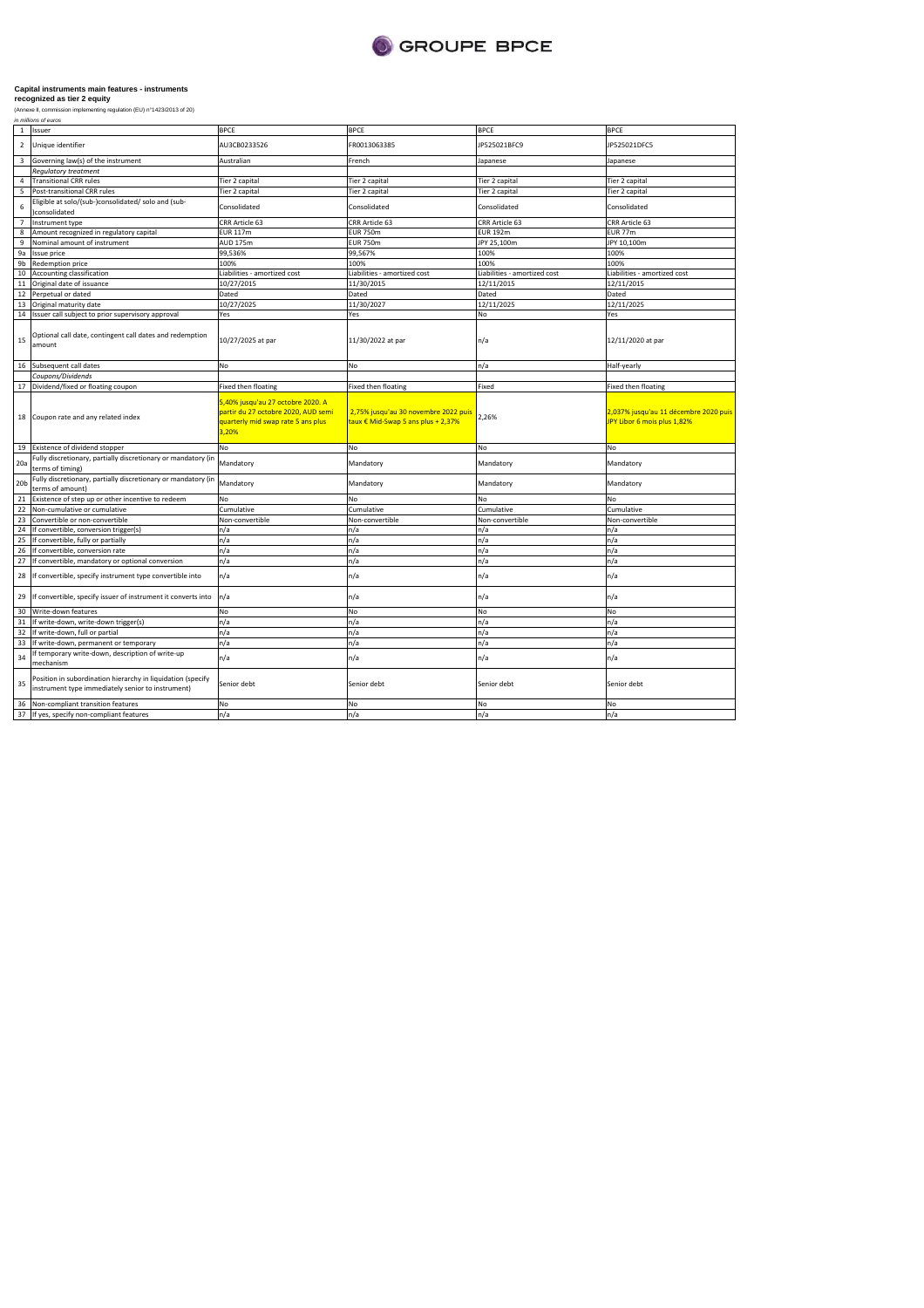

| $\mathbf{1}$    | Issuer                                                                                                           | <b>BPCE</b>                                                                                                    | <b>BPCE</b>                                                                | <b>BPCE</b>                  | <b>BPCE</b>                                                          |
|-----------------|------------------------------------------------------------------------------------------------------------------|----------------------------------------------------------------------------------------------------------------|----------------------------------------------------------------------------|------------------------------|----------------------------------------------------------------------|
| $\overline{2}$  | Unique identifier                                                                                                | AU3CB0233526                                                                                                   | FR0013063385                                                               | JP525021BFC9                 | JP525021DFC5                                                         |
| $\overline{3}$  | Governing law(s) of the instrument                                                                               | Australian                                                                                                     | French                                                                     | Japanese                     | Japanese                                                             |
|                 | <b>Requlatory treatment</b>                                                                                      |                                                                                                                |                                                                            |                              |                                                                      |
| 4               | <b>Transitional CRR rules</b>                                                                                    | Tier 2 capital                                                                                                 | Tier 2 capital                                                             | Tier 2 capital               | Tier 2 capital                                                       |
| 5               | Post-transitional CRR rules                                                                                      | Tier 2 capital                                                                                                 | Tier 2 capital                                                             | Tier 2 capital               | Tier 2 capital                                                       |
| 6               | Eligible at solo/(sub-)consolidated/ solo and (sub-<br>consolidated                                              | Consolidated                                                                                                   | Consolidated                                                               | Consolidated                 | Consolidated                                                         |
| $\overline{7}$  | Instrument type                                                                                                  | CRR Article 63                                                                                                 | CRR Article 63                                                             | CRR Article 63               | CRR Article 63                                                       |
| 8               | Amount recognized in regulatory capital                                                                          | <b>EUR 117m</b>                                                                                                | <b>EUR 750m</b>                                                            | <b>EUR 192m</b>              | <b>EUR 77m</b>                                                       |
| 9               | Nominal amount of instrument                                                                                     | <b>AUD 175m</b>                                                                                                | <b>EUR 750m</b>                                                            | JPY 25,100m                  | JPY 10,100m                                                          |
| 9a              | <b>Issue price</b>                                                                                               | 99,536%                                                                                                        | 99,567%                                                                    | 100%                         | 100%                                                                 |
| 9 <sub>b</sub>  | <b>Redemption price</b>                                                                                          | 100%                                                                                                           | 100%                                                                       | 100%                         | 100%                                                                 |
| 10              | Accounting classification                                                                                        | Liabilities - amortized cost                                                                                   | Liabilities - amortized cost                                               | Liabilities - amortized cost | Liabilities - amortized cost                                         |
| 11              | Original date of issuance                                                                                        | 10/27/2015                                                                                                     | 11/30/2015                                                                 | 12/11/2015                   | 12/11/2015                                                           |
| 12              | Perpetual or dated                                                                                               | Dated                                                                                                          | Dated                                                                      | Dated                        | Dated                                                                |
| 13              | Original maturity date                                                                                           | 10/27/2025                                                                                                     | 11/30/2027                                                                 | 12/11/2025                   | 12/11/2025                                                           |
| 14              | Issuer call subject to prior supervisory approval                                                                | Yes                                                                                                            | Yes                                                                        | No                           | Yes                                                                  |
| 15              | Optional call date, contingent call dates and redemption<br>amount                                               | 10/27/2025 at par                                                                                              | 11/30/2022 at par                                                          | n/a                          | 12/11/2020 at par                                                    |
| 16              | Subsequent call dates                                                                                            | No                                                                                                             | No                                                                         | n/a                          | Half-yearly                                                          |
|                 | Coupons/Dividends                                                                                                |                                                                                                                |                                                                            |                              |                                                                      |
| 17              | Dividend/fixed or floating coupon                                                                                | Fixed then floating                                                                                            | Fixed then floating                                                        | Fixed                        | Fixed then floating                                                  |
| 18              | Coupon rate and any related index                                                                                | 5,40% jusqu'au 27 octobre 2020. A<br>partir du 27 octobre 2020, AUD semi<br>quarterly mid swap rate 5 ans plus | 2,75% jusqu'au 30 novembre 2022 puis<br>taux € Mid-Swap 5 ans plus + 2,37% | 2.26%                        | 2,037% jusqu'au 11 décembre 2020 puis<br>IPY Libor 6 mois plus 1,82% |
|                 |                                                                                                                  | 3,20%                                                                                                          |                                                                            |                              |                                                                      |
| 19              | Existence of dividend stopper                                                                                    | No                                                                                                             | No                                                                         | No                           | <b>No</b>                                                            |
| 20a             | Fully discretionary, partially discretionary or mandatory (in<br>terms of timing)                                | Mandatory                                                                                                      | Mandatory                                                                  | Mandatory                    | Mandatory                                                            |
| 20 <sub>b</sub> | Fully discretionary, partially discretionary or mandatory (in<br>terms of amount)                                | Mandatory                                                                                                      | Mandatory                                                                  | Mandatory                    | Mandatory                                                            |
| 21              | Existence of step up or other incentive to redeem                                                                | No                                                                                                             | No                                                                         | No                           | No                                                                   |
| 22              | Non-cumulative or cumulative                                                                                     | Cumulative                                                                                                     | Cumulative                                                                 | Cumulative                   | Cumulative                                                           |
| 23              | Convertible or non-convertible                                                                                   | Non-convertible                                                                                                | Non-convertible                                                            | Non-convertible              | Non-convertible                                                      |
| 24              | If convertible, conversion trigger(s)                                                                            | n/a                                                                                                            | n/a                                                                        | n/a                          | n/a                                                                  |
| 25              | If convertible, fully or partially                                                                               | n/a                                                                                                            | n/a                                                                        | n/a                          | n/a                                                                  |
| 26              | If convertible, conversion rate                                                                                  | n/a                                                                                                            | n/a                                                                        | n/a                          | n/a                                                                  |
| 27              | If convertible, mandatory or optional conversion                                                                 | n/a                                                                                                            | n/a                                                                        | n/a                          | n/a                                                                  |
| 28              | If convertible, specify instrument type convertible into                                                         | n/a                                                                                                            | n/a                                                                        | n/a                          | n/a                                                                  |
| 29              | If convertible, specify issuer of instrument it converts into                                                    | n/a                                                                                                            | n/a                                                                        | n/a                          | n/a                                                                  |
| 30              | Write-down features                                                                                              | No                                                                                                             | No                                                                         | No                           | No                                                                   |
| 31              | If write-down, write-down trigger(s)                                                                             | n/a                                                                                                            | n/a                                                                        | n/a                          | n/a                                                                  |
| 32              | If write-down, full or partial                                                                                   | n/a                                                                                                            | n/a                                                                        | n/a                          | n/a                                                                  |
| 33              | If write-down, permanent or temporary                                                                            | n/a                                                                                                            | n/a                                                                        | n/a                          | n/a                                                                  |
| 34              | f temporary write-down, description of write-up<br>mechanism                                                     | n/a                                                                                                            | n/a                                                                        | n/a                          | n/a                                                                  |
| 35              | Position in subordination hierarchy in liquidation (specify<br>instrument type immediately senior to instrument) | Senior debt                                                                                                    | Senior debt                                                                | Senior debt                  | Senior debt                                                          |
| 36<br>37        | Non-compliant transition features<br>If yes, specify non-compliant features                                      | No<br>n/a                                                                                                      | No<br>n/a                                                                  | No<br>n/a                    | No<br>n/a                                                            |